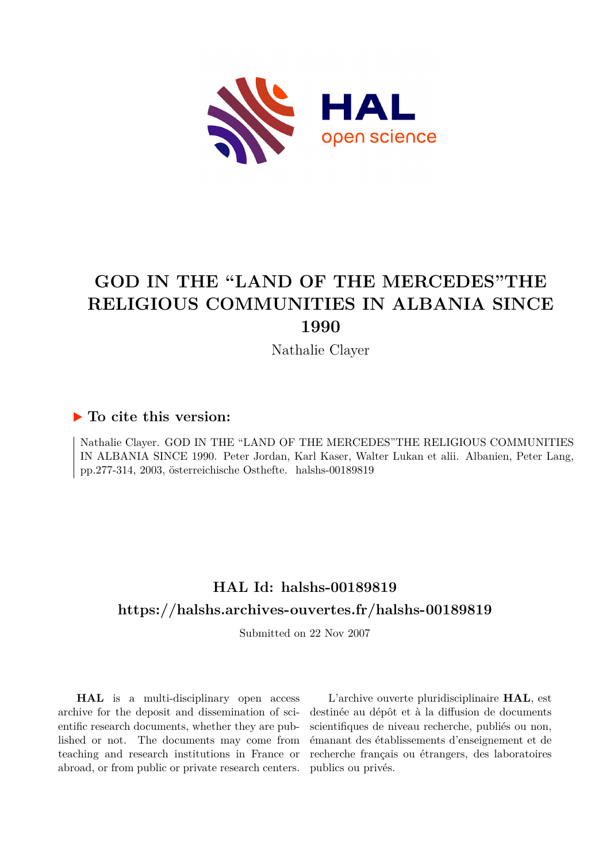

# **GOD IN THE "LAND OF THE MERCEDES"THE RELIGIOUS COMMUNITIES IN ALBANIA SINCE 1990**

Nathalie Clayer

## **To cite this version:**

Nathalie Clayer. GOD IN THE "LAND OF THE MERCEDES"THE RELIGIOUS COMMUNITIES IN ALBANIA SINCE 1990. Peter Jordan, Karl Kaser, Walter Lukan et alii. Albanien, Peter Lang, pp.277-314, 2003, österreichische Osthefte. halshs-00189819

## **HAL Id: halshs-00189819 <https://halshs.archives-ouvertes.fr/halshs-00189819>**

Submitted on 22 Nov 2007

**HAL** is a multi-disciplinary open access archive for the deposit and dissemination of scientific research documents, whether they are published or not. The documents may come from teaching and research institutions in France or abroad, or from public or private research centers.

L'archive ouverte pluridisciplinaire **HAL**, est destinée au dépôt et à la diffusion de documents scientifiques de niveau recherche, publiés ou non, émanant des établissements d'enseignement et de recherche français ou étrangers, des laboratoires publics ou privés.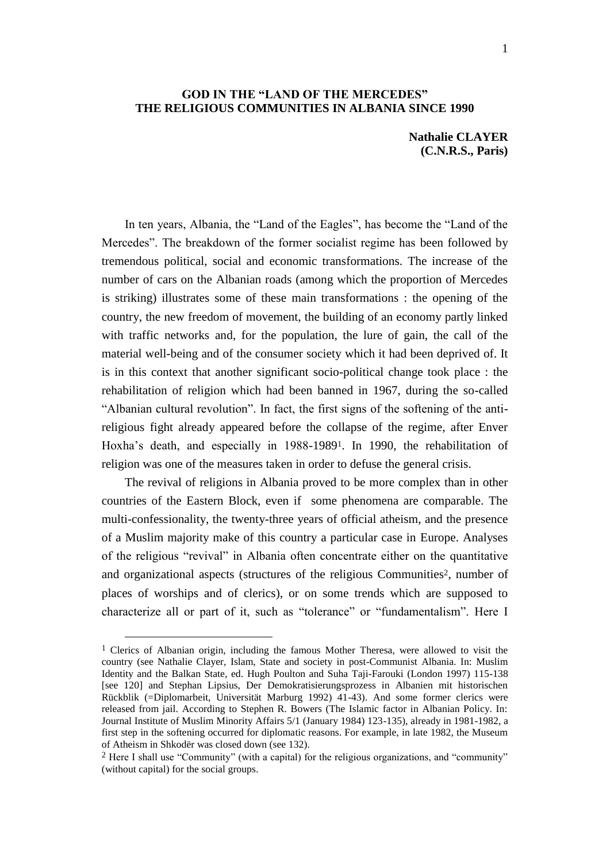#### **GOD IN THE "LAND OF THE MERCEDES" THE RELIGIOUS COMMUNITIES IN ALBANIA SINCE 1990**

**Nathalie CLAYER (C.N.R.S., Paris)**

In ten years, Albania, the "Land of the Eagles", has become the "Land of the Mercedes". The breakdown of the former socialist regime has been followed by tremendous political, social and economic transformations. The increase of the number of cars on the Albanian roads (among which the proportion of Mercedes is striking) illustrates some of these main transformations : the opening of the country, the new freedom of movement, the building of an economy partly linked with traffic networks and, for the population, the lure of gain, the call of the material well-being and of the consumer society which it had been deprived of. It is in this context that another significant socio-political change took place : the rehabilitation of religion which had been banned in 1967, during the so-called "Albanian cultural revolution". In fact, the first signs of the softening of the antireligious fight already appeared before the collapse of the regime, after Enver Hoxha"s death, and especially in 1988-19891. In 1990, the rehabilitation of religion was one of the measures taken in order to defuse the general crisis.

The revival of religions in Albania proved to be more complex than in other countries of the Eastern Block, even if some phenomena are comparable. The multi-confessionality, the twenty-three years of official atheism, and the presence of a Muslim majority make of this country a particular case in Europe. Analyses of the religious "revival" in Albania often concentrate either on the quantitative and organizational aspects (structures of the religious Communities2, number of places of worships and of clerics), or on some trends which are supposed to characterize all or part of it, such as "tolerance" or "fundamentalism". Here I

 $<sup>1</sup>$  Clerics of Albanian origin, including the famous Mother Theresa, were allowed to visit the</sup> country (see Nathalie Clayer, Islam, State and society in post-Communist Albania. In: Muslim Identity and the Balkan State, ed. Hugh Poulton and Suha Taji-Farouki (London 1997) 115-138 [see 120] and Stephan Lipsius, Der Demokratisierungsprozess in Albanien mit historischen Rückblik (=Diplomarbeit, Universität Marburg 1992) 41-43). And some former clerics were released from jail. According to Stephen R. Bowers (The Islamic factor in Albanian Policy. In: Journal Institute of Muslim Minority Affairs 5/1 (January 1984) 123-135), already in 1981-1982, a first step in the softening occurred for diplomatic reasons. For example, in late 1982, the Museum of Atheism in Shkodër was closed down (see 132).

<sup>2</sup> Here I shall use "Community" (with a capital) for the religious organizations, and "community" (without capital) for the social groups.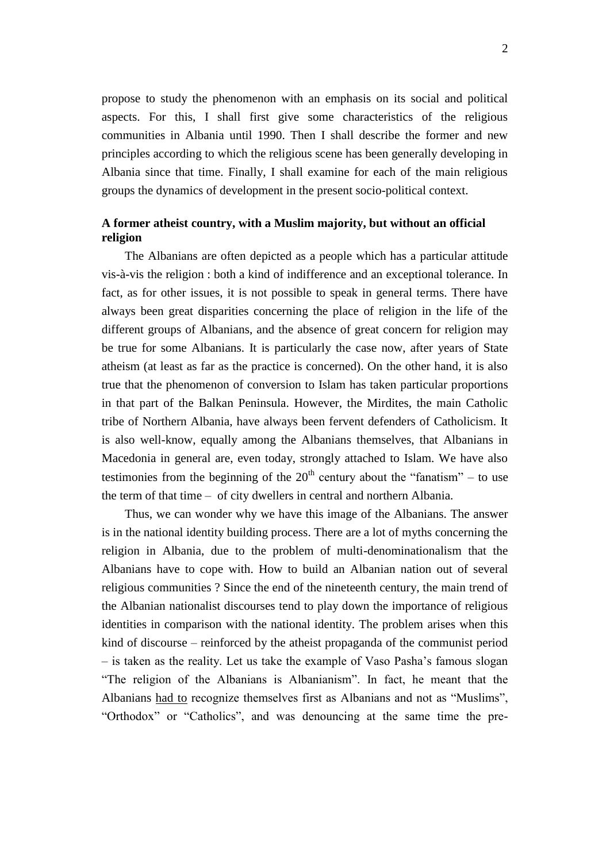propose to study the phenomenon with an emphasis on its social and political aspects. For this, I shall first give some characteristics of the religious communities in Albania until 1990. Then I shall describe the former and new principles according to which the religious scene has been generally developing in Albania since that time. Finally, I shall examine for each of the main religious groups the dynamics of development in the present socio-political context.

### **A former atheist country, with a Muslim majority, but without an official religion**

The Albanians are often depicted as a people which has a particular attitude vis-à-vis the religion : both a kind of indifference and an exceptional tolerance. In fact, as for other issues, it is not possible to speak in general terms. There have always been great disparities concerning the place of religion in the life of the different groups of Albanians, and the absence of great concern for religion may be true for some Albanians. It is particularly the case now, after years of State atheism (at least as far as the practice is concerned). On the other hand, it is also true that the phenomenon of conversion to Islam has taken particular proportions in that part of the Balkan Peninsula. However, the Mirdites, the main Catholic tribe of Northern Albania, have always been fervent defenders of Catholicism. It is also well-know, equally among the Albanians themselves, that Albanians in Macedonia in general are, even today, strongly attached to Islam. We have also testimonies from the beginning of the  $20<sup>th</sup>$  century about the "fanatism" – to use the term of that time – of city dwellers in central and northern Albania.

Thus, we can wonder why we have this image of the Albanians. The answer is in the national identity building process. There are a lot of myths concerning the religion in Albania, due to the problem of multi-denominationalism that the Albanians have to cope with. How to build an Albanian nation out of several religious communities ? Since the end of the nineteenth century, the main trend of the Albanian nationalist discourses tend to play down the importance of religious identities in comparison with the national identity. The problem arises when this kind of discourse – reinforced by the atheist propaganda of the communist period – is taken as the reality. Let us take the example of Vaso Pasha"s famous slogan "The religion of the Albanians is Albanianism". In fact, he meant that the Albanians had to recognize themselves first as Albanians and not as "Muslims", "Orthodox" or "Catholics", and was denouncing at the same time the pre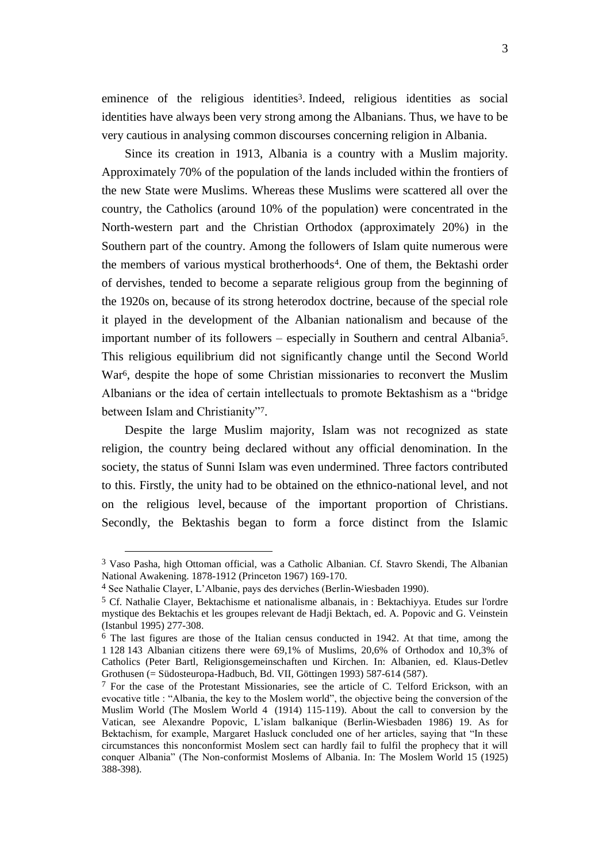eminence of the religious identities<sup>3</sup>. Indeed, religious identities as social identities have always been very strong among the Albanians. Thus, we have to be very cautious in analysing common discourses concerning religion in Albania.

Since its creation in 1913, Albania is a country with a Muslim majority. Approximately 70% of the population of the lands included within the frontiers of the new State were Muslims. Whereas these Muslims were scattered all over the country, the Catholics (around 10% of the population) were concentrated in the North-western part and the Christian Orthodox (approximately 20%) in the Southern part of the country. Among the followers of Islam quite numerous were the members of various mystical brotherhoods4. One of them, the Bektashi order of dervishes, tended to become a separate religious group from the beginning of the 1920s on, because of its strong heterodox doctrine, because of the special role it played in the development of the Albanian nationalism and because of the important number of its followers – especially in Southern and central Albania5. This religious equilibrium did not significantly change until the Second World War6, despite the hope of some Christian missionaries to reconvert the Muslim Albanians or the idea of certain intellectuals to promote Bektashism as a "bridge between Islam and Christianity"7.

Despite the large Muslim majority, Islam was not recognized as state religion, the country being declared without any official denomination. In the society, the status of Sunni Islam was even undermined. Three factors contributed to this. Firstly, the unity had to be obtained on the ethnico-national level, and not on the religious level, because of the important proportion of Christians. Secondly, the Bektashis began to form a force distinct from the Islamic

<sup>3</sup> Vaso Pasha, high Ottoman official, was a Catholic Albanian. Cf. Stavro Skendi, The Albanian National Awakening. 1878-1912 (Princeton 1967) 169-170.

<sup>4</sup> See Nathalie Clayer, L"Albanie, pays des derviches (Berlin-Wiesbaden 1990).

<sup>5</sup> Cf. Nathalie Clayer, Bektachisme et nationalisme albanais, in : Bektachiyya. Etudes sur l'ordre mystique des Bektachis et les groupes relevant de Hadji Bektach, ed. A. Popovic and G. Veinstein (Istanbul 1995) 277-308.

 $6$  The last figures are those of the Italian census conducted in 1942. At that time, among the 1 128 143 Albanian citizens there were 69,1% of Muslims, 20,6% of Orthodox and 10,3% of Catholics (Peter Bartl, Religionsgemeinschaften und Kirchen. In: Albanien, ed. Klaus-Detlev Grothusen (= Südosteuropa-Hadbuch, Bd. VII, Göttingen 1993) 587-614 (587).

 $<sup>7</sup>$  For the case of the Protestant Missionaries, see the article of C. Telford Erickson, with an</sup> evocative title : "Albania, the key to the Moslem world", the objective being the conversion of the Muslim World (The Moslem World 4 (1914) 115-119). About the call to conversion by the Vatican, see Alexandre Popovic, L"islam balkanique (Berlin-Wiesbaden 1986) 19. As for Bektachism, for example, Margaret Hasluck concluded one of her articles, saying that "In these circumstances this nonconformist Moslem sect can hardly fail to fulfil the prophecy that it will conquer Albania" (The Non-conformist Moslems of Albania. In: The Moslem World 15 (1925) 388-398).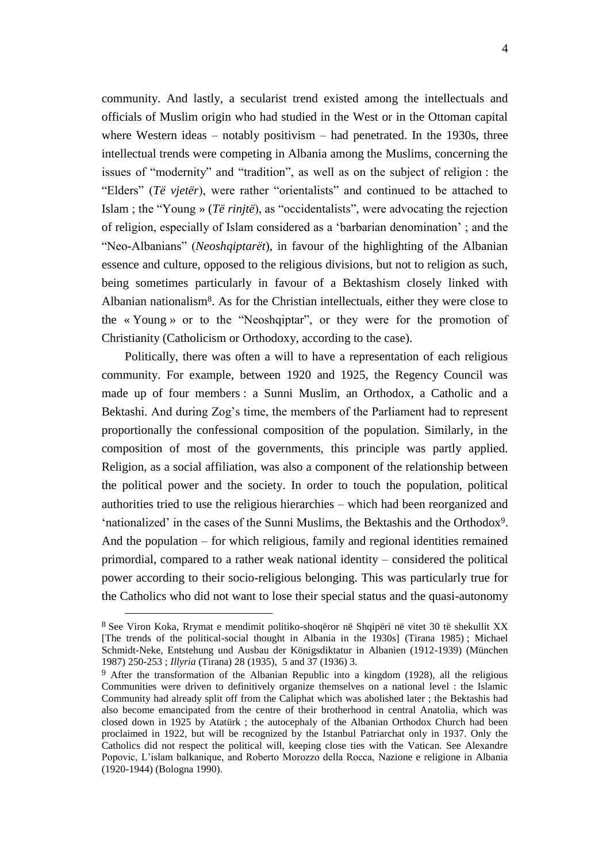community. And lastly, a secularist trend existed among the intellectuals and officials of Muslim origin who had studied in the West or in the Ottoman capital where Western ideas – notably positivism – had penetrated. In the 1930s, three intellectual trends were competing in Albania among the Muslims, concerning the issues of "modernity" and "tradition", as well as on the subject of religion : the "Elders" (*Të vjetër*), were rather "orientalists" and continued to be attached to Islam ; the "Young » (*Të rinjtë*), as "occidentalists", were advocating the rejection of religion, especially of Islam considered as a "barbarian denomination" ; and the "Neo-Albanians" (*Neoshqiptarët*), in favour of the highlighting of the Albanian essence and culture, opposed to the religious divisions, but not to religion as such, being sometimes particularly in favour of a Bektashism closely linked with Albanian nationalism8. As for the Christian intellectuals, either they were close to the « Young » or to the "Neoshqiptar", or they were for the promotion of Christianity (Catholicism or Orthodoxy, according to the case).

Politically, there was often a will to have a representation of each religious community. For example, between 1920 and 1925, the Regency Council was made up of four members : a Sunni Muslim, an Orthodox, a Catholic and a Bektashi. And during Zog's time, the members of the Parliament had to represent proportionally the confessional composition of the population. Similarly, in the composition of most of the governments, this principle was partly applied. Religion, as a social affiliation, was also a component of the relationship between the political power and the society. In order to touch the population, political authorities tried to use the religious hierarchies – which had been reorganized and "nationalized" in the cases of the Sunni Muslims, the Bektashis and the Orthodox9. And the population – for which religious, family and regional identities remained primordial, compared to a rather weak national identity – considered the political power according to their socio-religious belonging. This was particularly true for the Catholics who did not want to lose their special status and the quasi-autonomy

<sup>8</sup> See Viron Koka, Rrymat e mendimit politiko-shoqëror në Shqipëri në vitet 30 të shekullit XX [The trends of the political-social thought in Albania in the 1930s] (Tirana 1985) ; Michael Schmidt-Neke, Entstehung und Ausbau der Königsdiktatur in Albanien (1912-1939) (München 1987) 250-253 ; *Illyria* (Tirana) 28 (1935), 5 and 37 (1936) 3.

<sup>9</sup> After the transformation of the Albanian Republic into a kingdom (1928), all the religious Communities were driven to definitively organize themselves on a national level : the Islamic Community had already split off from the Caliphat which was abolished later ; the Bektashis had also become emancipated from the centre of their brotherhood in central Anatolia, which was closed down in 1925 by Atatürk ; the autocephaly of the Albanian Orthodox Church had been proclaimed in 1922, but will be recognized by the Istanbul Patriarchat only in 1937. Only the Catholics did not respect the political will, keeping close ties with the Vatican. See Alexandre Popovic, L"islam balkanique, and Roberto Morozzo della Rocca, Nazione e religione in Albania (1920-1944) (Bologna 1990).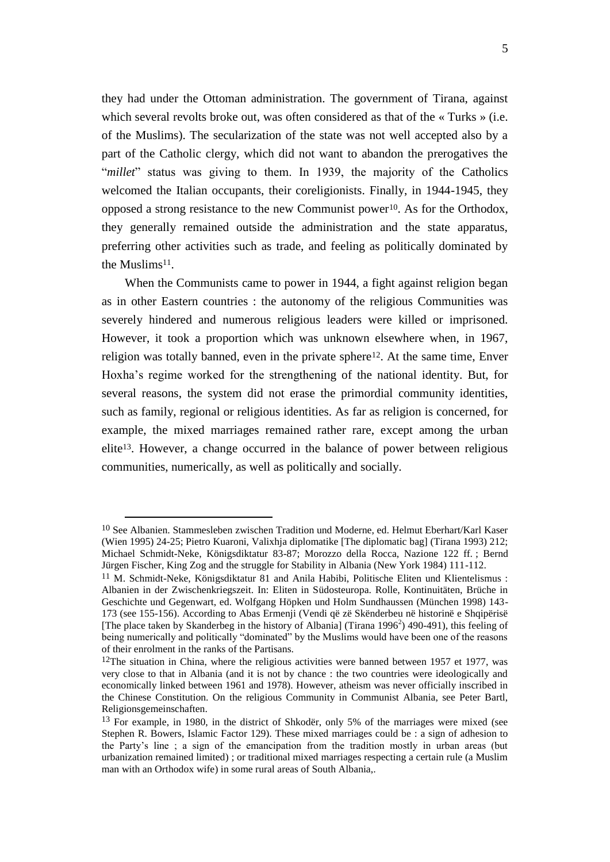they had under the Ottoman administration. The government of Tirana, against which several revolts broke out, was often considered as that of the « Turks » (i.e. of the Muslims). The secularization of the state was not well accepted also by a part of the Catholic clergy, which did not want to abandon the prerogatives the "*millet*" status was giving to them. In 1939, the majority of the Catholics welcomed the Italian occupants, their coreligionists. Finally, in 1944-1945, they opposed a strong resistance to the new Communist power10. As for the Orthodox, they generally remained outside the administration and the state apparatus, preferring other activities such as trade, and feeling as politically dominated by the Muslims<sup>11</sup>.

When the Communists came to power in 1944, a fight against religion began as in other Eastern countries : the autonomy of the religious Communities was severely hindered and numerous religious leaders were killed or imprisoned. However, it took a proportion which was unknown elsewhere when, in 1967, religion was totally banned, even in the private sphere<sup>12</sup>. At the same time, Enver Hoxha"s regime worked for the strengthening of the national identity. But, for several reasons, the system did not erase the primordial community identities, such as family, regional or religious identities. As far as religion is concerned, for example, the mixed marriages remained rather rare, except among the urban elite13. However, a change occurred in the balance of power between religious communities, numerically, as well as politically and socially.

<sup>10</sup> See Albanien. Stammesleben zwischen Tradition und Moderne, ed. Helmut Eberhart/Karl Kaser (Wien 1995) 24-25; Pietro Kuaroni, Valixhja diplomatike [The diplomatic bag] (Tirana 1993) 212; Michael Schmidt-Neke, Königsdiktatur 83-87; Morozzo della Rocca, Nazione 122 ff. ; Bernd Jürgen Fischer, King Zog and the struggle for Stability in Albania (New York 1984) 111-112.

<sup>11</sup> M. Schmidt-Neke, Königsdiktatur 81 and Anila Habibi, Politische Eliten und Klientelismus : Albanien in der Zwischenkriegszeit. In: Eliten in Südosteuropa. Rolle, Kontinuitäten, Brüche in Geschichte und Gegenwart, ed. Wolfgang Höpken und Holm Sundhaussen (München 1998) 143- 173 (see 155-156). According to Abas Ermenji (Vendi që zë Skënderbeu në historinë e Shqipërisë [The place taken by Skanderbeg in the history of Albania] (Tirana 1996<sup>2</sup>) 490-491), this feeling of being numerically and politically "dominated" by the Muslims would have been one of the reasons of their enrolment in the ranks of the Partisans.

<sup>&</sup>lt;sup>12</sup>The situation in China, where the religious activities were banned between 1957 et 1977, was very close to that in Albania (and it is not by chance : the two countries were ideologically and economically linked between 1961 and 1978). However, atheism was never officially inscribed in the Chinese Constitution. On the religious Community in Communist Albania, see Peter Bartl, Religionsgemeinschaften.

<sup>13</sup> For example, in 1980, in the district of Shkodër, only 5% of the marriages were mixed (see Stephen R. Bowers, Islamic Factor 129). These mixed marriages could be : a sign of adhesion to the Party"s line ; a sign of the emancipation from the tradition mostly in urban areas (but urbanization remained limited) ; or traditional mixed marriages respecting a certain rule (a Muslim man with an Orthodox wife) in some rural areas of South Albania,.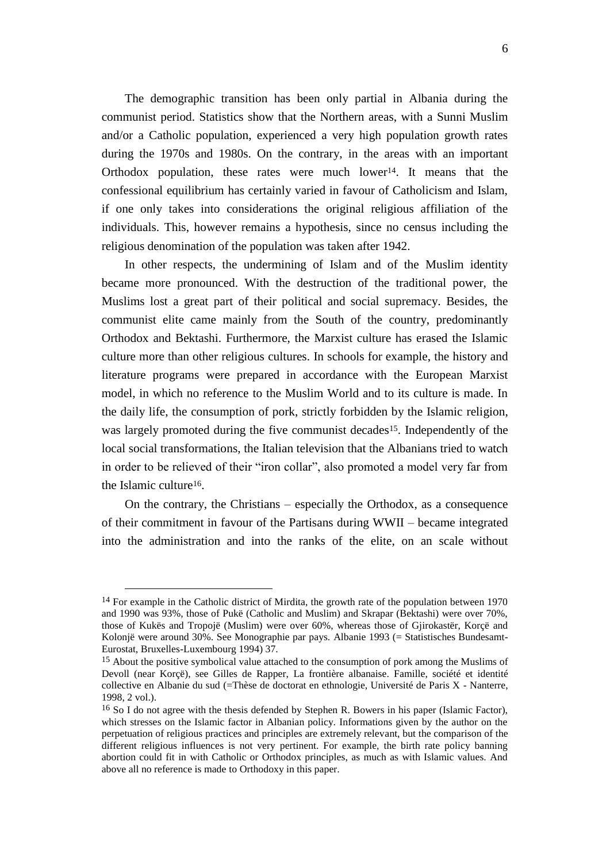The demographic transition has been only partial in Albania during the communist period. Statistics show that the Northern areas, with a Sunni Muslim and/or a Catholic population, experienced a very high population growth rates during the 1970s and 1980s. On the contrary, in the areas with an important Orthodox population, these rates were much lower<sup>14</sup>. It means that the confessional equilibrium has certainly varied in favour of Catholicism and Islam, if one only takes into considerations the original religious affiliation of the individuals. This, however remains a hypothesis, since no census including the religious denomination of the population was taken after 1942.

In other respects, the undermining of Islam and of the Muslim identity became more pronounced. With the destruction of the traditional power, the Muslims lost a great part of their political and social supremacy. Besides, the communist elite came mainly from the South of the country, predominantly Orthodox and Bektashi. Furthermore, the Marxist culture has erased the Islamic culture more than other religious cultures. In schools for example, the history and literature programs were prepared in accordance with the European Marxist model, in which no reference to the Muslim World and to its culture is made. In the daily life, the consumption of pork, strictly forbidden by the Islamic religion, was largely promoted during the five communist decades<sup>15</sup>. Independently of the local social transformations, the Italian television that the Albanians tried to watch in order to be relieved of their "iron collar", also promoted a model very far from the Islamic culture16.

On the contrary, the Christians – especially the Orthodox, as a consequence of their commitment in favour of the Partisans during WWII – became integrated into the administration and into the ranks of the elite, on an scale without

-

<sup>&</sup>lt;sup>14</sup> For example in the Catholic district of Mirdita, the growth rate of the population between 1970 and 1990 was 93%, those of Pukë (Catholic and Muslim) and Skrapar (Bektashi) were over 70%, those of Kukës and Tropojë (Muslim) were over 60%, whereas those of Gjirokastër, Korçë and Kolonjë were around 30%. See Monographie par pays. Albanie 1993 (= Statistisches Bundesamt-Eurostat, Bruxelles-Luxembourg 1994) 37.

<sup>&</sup>lt;sup>15</sup> About the positive symbolical value attached to the consumption of pork among the Muslims of Devoll (near Korçë), see Gilles de Rapper, La frontière albanaise. Famille, société et identité collective en Albanie du sud (=Thèse de doctorat en ethnologie, Université de Paris X - Nanterre, 1998, 2 vol.).

<sup>16</sup> So I do not agree with the thesis defended by Stephen R. Bowers in his paper (Islamic Factor), which stresses on the Islamic factor in Albanian policy. Informations given by the author on the perpetuation of religious practices and principles are extremely relevant, but the comparison of the different religious influences is not very pertinent. For example, the birth rate policy banning abortion could fit in with Catholic or Orthodox principles, as much as with Islamic values. And above all no reference is made to Orthodoxy in this paper.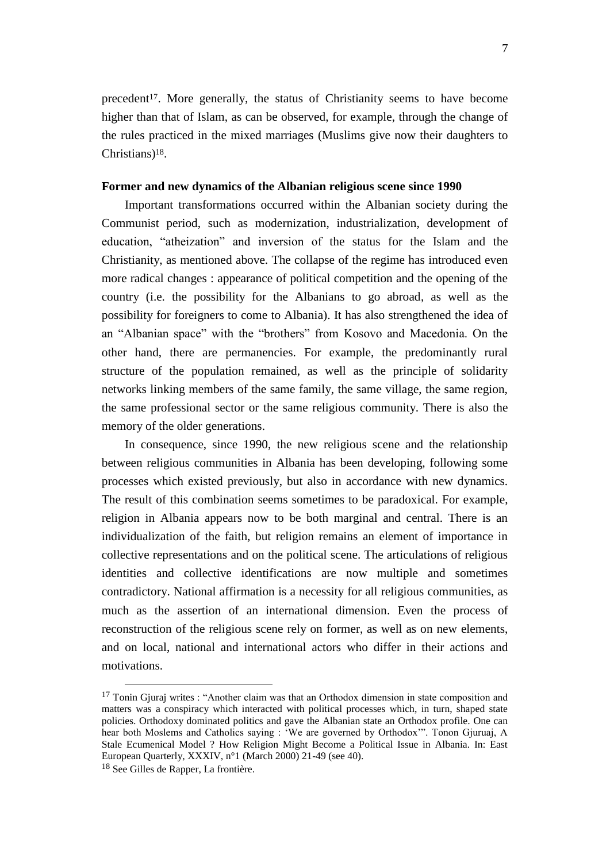precedent17. More generally, the status of Christianity seems to have become higher than that of Islam, as can be observed, for example, through the change of the rules practiced in the mixed marriages (Muslims give now their daughters to Christians)18.

#### **Former and new dynamics of the Albanian religious scene since 1990**

Important transformations occurred within the Albanian society during the Communist period, such as modernization, industrialization, development of education, "atheization" and inversion of the status for the Islam and the Christianity, as mentioned above. The collapse of the regime has introduced even more radical changes : appearance of political competition and the opening of the country (i.e. the possibility for the Albanians to go abroad, as well as the possibility for foreigners to come to Albania). It has also strengthened the idea of an "Albanian space" with the "brothers" from Kosovo and Macedonia. On the other hand, there are permanencies. For example, the predominantly rural structure of the population remained, as well as the principle of solidarity networks linking members of the same family, the same village, the same region, the same professional sector or the same religious community. There is also the memory of the older generations.

In consequence, since 1990, the new religious scene and the relationship between religious communities in Albania has been developing, following some processes which existed previously, but also in accordance with new dynamics. The result of this combination seems sometimes to be paradoxical. For example, religion in Albania appears now to be both marginal and central. There is an individualization of the faith, but religion remains an element of importance in collective representations and on the political scene. The articulations of religious identities and collective identifications are now multiple and sometimes contradictory. National affirmation is a necessity for all religious communities, as much as the assertion of an international dimension. Even the process of reconstruction of the religious scene rely on former, as well as on new elements, and on local, national and international actors who differ in their actions and motivations.

<sup>&</sup>lt;sup>17</sup> Tonin Gjuraj writes : "Another claim was that an Orthodox dimension in state composition and matters was a conspiracy which interacted with political processes which, in turn, shaped state policies. Orthodoxy dominated politics and gave the Albanian state an Orthodox profile. One can hear both Moslems and Catholics saying : "We are governed by Orthodox"". Tonon Gjuruaj, A Stale Ecumenical Model ? How Religion Might Become a Political Issue in Albania. In: East European Quarterly, XXXIV, n°1 (March 2000) 21-49 (see 40).

<sup>18</sup> See Gilles de Rapper, La frontière.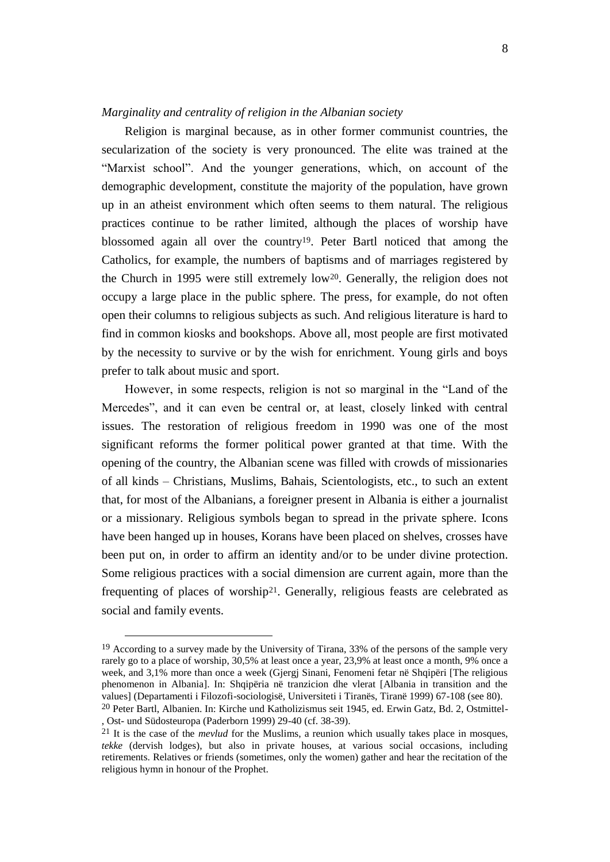#### *Marginality and centrality of religion in the Albanian society*

Religion is marginal because, as in other former communist countries, the secularization of the society is very pronounced. The elite was trained at the "Marxist school". And the younger generations, which, on account of the demographic development, constitute the majority of the population, have grown up in an atheist environment which often seems to them natural. The religious practices continue to be rather limited, although the places of worship have blossomed again all over the country19. Peter Bartl noticed that among the Catholics, for example, the numbers of baptisms and of marriages registered by the Church in 1995 were still extremely low20. Generally, the religion does not occupy a large place in the public sphere. The press, for example, do not often open their columns to religious subjects as such. And religious literature is hard to find in common kiosks and bookshops. Above all, most people are first motivated by the necessity to survive or by the wish for enrichment. Young girls and boys prefer to talk about music and sport.

However, in some respects, religion is not so marginal in the "Land of the Mercedes", and it can even be central or, at least, closely linked with central issues. The restoration of religious freedom in 1990 was one of the most significant reforms the former political power granted at that time. With the opening of the country, the Albanian scene was filled with crowds of missionaries of all kinds – Christians, Muslims, Bahais, Scientologists, etc., to such an extent that, for most of the Albanians, a foreigner present in Albania is either a journalist or a missionary. Religious symbols began to spread in the private sphere. Icons have been hanged up in houses, Korans have been placed on shelves, crosses have been put on, in order to affirm an identity and/or to be under divine protection. Some religious practices with a social dimension are current again, more than the frequenting of places of worship21. Generally, religious feasts are celebrated as social and family events.

<sup>&</sup>lt;sup>19</sup> According to a survey made by the University of Tirana, 33% of the persons of the sample very rarely go to a place of worship, 30,5% at least once a year, 23,9% at least once a month, 9% once a week, and 3,1% more than once a week (Gjergj Sinani, Fenomeni fetar në Shqipëri [The religious phenomenon in Albania]. In: Shqipëria në tranzicion dhe vlerat [Albania in transition and the values] (Departamenti i Filozofi-sociologisë, Universiteti i Tiranës, Tiranë 1999) 67-108 (see 80). 20 Peter Bartl, Albanien. In: Kirche und Katholizismus seit 1945, ed. Erwin Gatz, Bd. 2, Ostmittel-

<sup>,</sup> Ost- und Südosteuropa (Paderborn 1999) 29-40 (cf. 38-39).

<sup>21</sup> It is the case of the *mevlud* for the Muslims, a reunion which usually takes place in mosques, *tekke* (dervish lodges), but also in private houses, at various social occasions, including retirements. Relatives or friends (sometimes, only the women) gather and hear the recitation of the religious hymn in honour of the Prophet.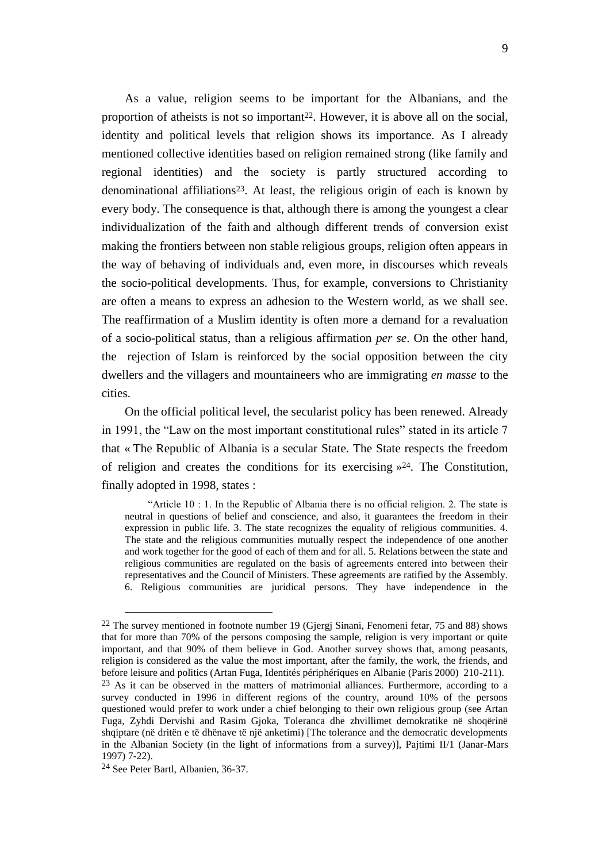As a value, religion seems to be important for the Albanians, and the proportion of atheists is not so important<sup>22</sup>. However, it is above all on the social, identity and political levels that religion shows its importance. As I already mentioned collective identities based on religion remained strong (like family and regional identities) and the society is partly structured according to denominational affiliations23. At least, the religious origin of each is known by every body. The consequence is that, although there is among the youngest a clear individualization of the faith and although different trends of conversion exist making the frontiers between non stable religious groups, religion often appears in the way of behaving of individuals and, even more, in discourses which reveals the socio-political developments. Thus, for example, conversions to Christianity are often a means to express an adhesion to the Western world, as we shall see. The reaffirmation of a Muslim identity is often more a demand for a revaluation of a socio-political status, than a religious affirmation *per se*. On the other hand, the rejection of Islam is reinforced by the social opposition between the city dwellers and the villagers and mountaineers who are immigrating *en masse* to the cities.

On the official political level, the secularist policy has been renewed. Already in 1991, the "Law on the most important constitutional rules" stated in its article 7 that « The Republic of Albania is a secular State. The State respects the freedom of religion and creates the conditions for its exercising  $\frac{1}{2}$ . The Constitution, finally adopted in 1998, states :

"Article 10 : 1. In the Republic of Albania there is no official religion. 2. The state is neutral in questions of belief and conscience, and also, it guarantees the freedom in their expression in public life. 3. The state recognizes the equality of religious communities. 4. The state and the religious communities mutually respect the independence of one another and work together for the good of each of them and for all. 5. Relations between the state and religious communities are regulated on the basis of agreements entered into between their representatives and the Council of Ministers. These agreements are ratified by the Assembly. 6. Religious communities are juridical persons. They have independence in the

<sup>22</sup> The survey mentioned in footnote number 19 (Gjergj Sinani, Fenomeni fetar, 75 and 88) shows that for more than 70% of the persons composing the sample, religion is very important or quite important, and that 90% of them believe in God. Another survey shows that, among peasants, religion is considered as the value the most important, after the family, the work, the friends, and before leisure and politics (Artan Fuga, Identités périphériques en Albanie (Paris 2000) 210-211).

<sup>&</sup>lt;sup>23</sup> As it can be observed in the matters of matrimonial alliances. Furthermore, according to a survey conducted in 1996 in different regions of the country, around 10% of the persons questioned would prefer to work under a chief belonging to their own religious group (see Artan Fuga, Zyhdi Dervishi and Rasim Gjoka, Toleranca dhe zhvillimet demokratike në shoqërinë shqiptare (në dritën e të dhënave të një anketimi) [The tolerance and the democratic developments in the Albanian Society (in the light of informations from a survey)], Pajtimi II/1 (Janar-Mars 1997) 7-22).

<sup>24</sup> See Peter Bartl, Albanien, 36-37.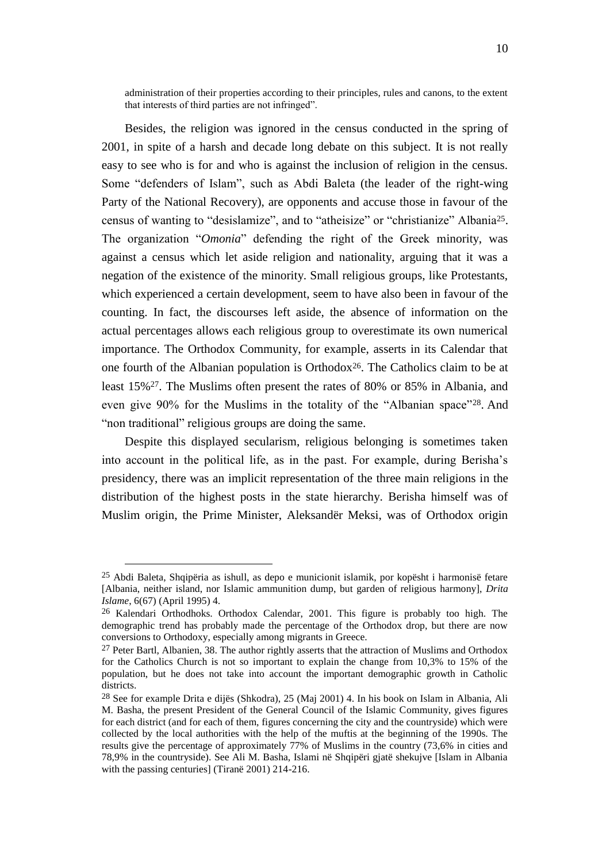administration of their properties according to their principles, rules and canons, to the extent that interests of third parties are not infringed".

Besides, the religion was ignored in the census conducted in the spring of 2001, in spite of a harsh and decade long debate on this subject. It is not really easy to see who is for and who is against the inclusion of religion in the census. Some "defenders of Islam", such as Abdi Baleta (the leader of the right-wing Party of the National Recovery), are opponents and accuse those in favour of the census of wanting to "desislamize", and to "atheisize" or "christianize" Albania25. The organization "*Omonia*" defending the right of the Greek minority, was against a census which let aside religion and nationality, arguing that it was a negation of the existence of the minority. Small religious groups, like Protestants, which experienced a certain development, seem to have also been in favour of the counting. In fact, the discourses left aside, the absence of information on the actual percentages allows each religious group to overestimate its own numerical importance. The Orthodox Community, for example, asserts in its Calendar that one fourth of the Albanian population is Orthodox26. The Catholics claim to be at least 15%27. The Muslims often present the rates of 80% or 85% in Albania, and even give 90% for the Muslims in the totality of the "Albanian space"28. And "non traditional" religious groups are doing the same.

Despite this displayed secularism, religious belonging is sometimes taken into account in the political life, as in the past. For example, during Berisha"s presidency, there was an implicit representation of the three main religions in the distribution of the highest posts in the state hierarchy. Berisha himself was of Muslim origin, the Prime Minister, Aleksandër Meksi, was of Orthodox origin

<sup>25</sup> Abdi Baleta, Shqipëria as ishull, as depo e municionit islamik, por kopësht i harmonisë fetare [Albania, neither island, nor Islamic ammunition dump, but garden of religious harmony], *Drita Islame*, 6(67) (April 1995) 4.

<sup>26</sup> Kalendari Orthodhoks. Orthodox Calendar, 2001. This figure is probably too high. The demographic trend has probably made the percentage of the Orthodox drop, but there are now conversions to Orthodoxy, especially among migrants in Greece.

 $27$  Peter Bartl, Albanien, 38. The author rightly asserts that the attraction of Muslims and Orthodox for the Catholics Church is not so important to explain the change from 10,3% to 15% of the population, but he does not take into account the important demographic growth in Catholic districts.

<sup>28</sup> See for example Drita e dijës (Shkodra), 25 (Maj 2001) 4. In his book on Islam in Albania, Ali M. Basha, the present President of the General Council of the Islamic Community, gives figures for each district (and for each of them, figures concerning the city and the countryside) which were collected by the local authorities with the help of the muftis at the beginning of the 1990s. The results give the percentage of approximately 77% of Muslims in the country (73,6% in cities and 78,9% in the countryside). See Ali M. Basha, Islami në Shqipëri gjatë shekujve [Islam in Albania with the passing centuries] (Tiranë 2001) 214-216.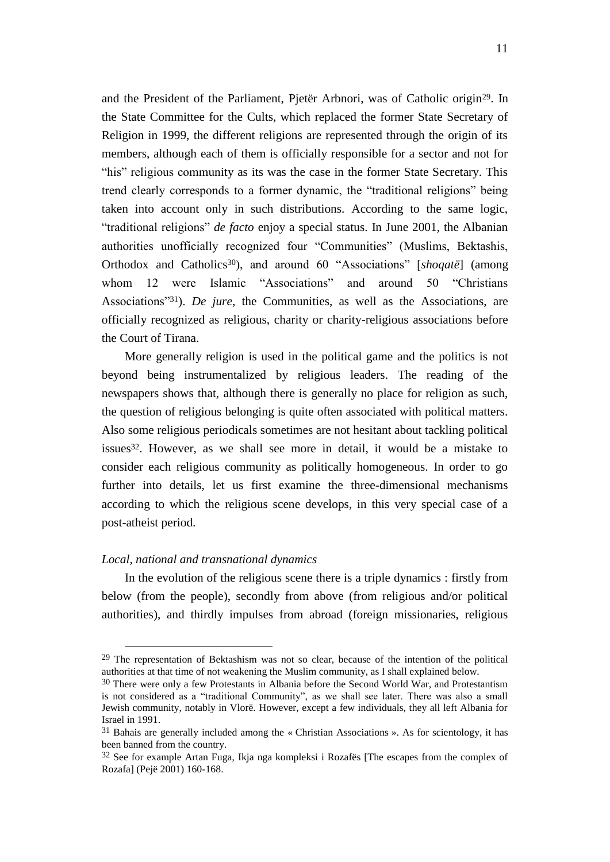and the President of the Parliament, Pjetër Arbnori, was of Catholic origin29. In the State Committee for the Cults, which replaced the former State Secretary of Religion in 1999, the different religions are represented through the origin of its members, although each of them is officially responsible for a sector and not for "his" religious community as its was the case in the former State Secretary. This trend clearly corresponds to a former dynamic, the "traditional religions" being taken into account only in such distributions. According to the same logic, "traditional religions" *de facto* enjoy a special status. In June 2001, the Albanian authorities unofficially recognized four "Communities" (Muslims, Bektashis, Orthodox and Catholics30), and around 60 "Associations" [*shoqatë*] (among whom 12 were Islamic "Associations" and around 50 "Christians" Associations"31). *De jure*, the Communities, as well as the Associations, are officially recognized as religious, charity or charity-religious associations before the Court of Tirana.

More generally religion is used in the political game and the politics is not beyond being instrumentalized by religious leaders. The reading of the newspapers shows that, although there is generally no place for religion as such, the question of religious belonging is quite often associated with political matters. Also some religious periodicals sometimes are not hesitant about tackling political issues32. However, as we shall see more in detail, it would be a mistake to consider each religious community as politically homogeneous. In order to go further into details, let us first examine the three-dimensional mechanisms according to which the religious scene develops, in this very special case of a post-atheist period.

#### *Local, national and transnational dynamics*

<u>.</u>

In the evolution of the religious scene there is a triple dynamics : firstly from below (from the people), secondly from above (from religious and/or political authorities), and thirdly impulses from abroad (foreign missionaries, religious

<sup>29</sup> The representation of Bektashism was not so clear, because of the intention of the political authorities at that time of not weakening the Muslim community, as I shall explained below.

<sup>&</sup>lt;sup>30</sup> There were only a few Protestants in Albania before the Second World War, and Protestantism is not considered as a "traditional Community", as we shall see later. There was also a small Jewish community, notably in Vlorë. However, except a few individuals, they all left Albania for Israel in 1991.

<sup>31</sup> Bahais are generally included among the « Christian Associations ». As for scientology, it has been banned from the country.

 $32$  See for example Artan Fuga, Ikja nga kompleksi i Rozafës [The escapes from the complex of Rozafa] (Pejë 2001) 160-168.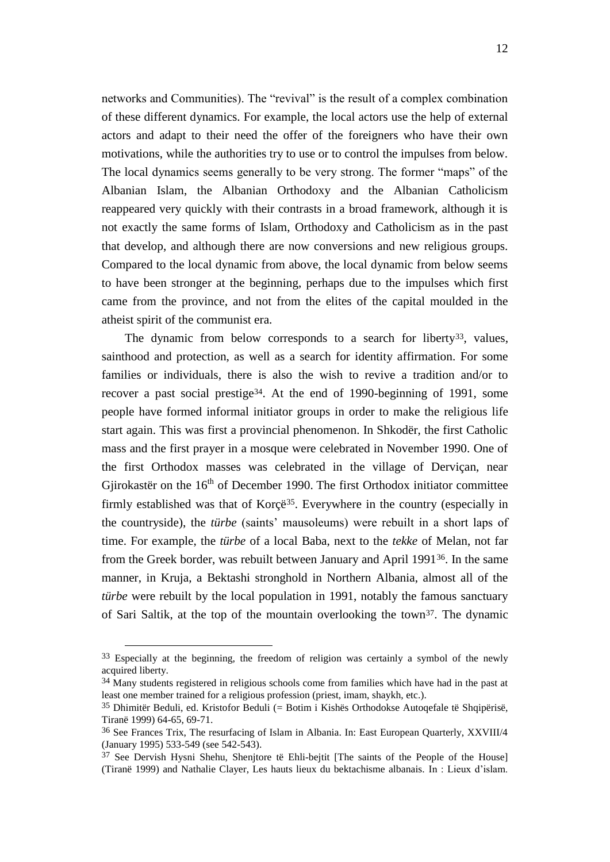networks and Communities). The "revival" is the result of a complex combination of these different dynamics. For example, the local actors use the help of external actors and adapt to their need the offer of the foreigners who have their own motivations, while the authorities try to use or to control the impulses from below. The local dynamics seems generally to be very strong. The former "maps" of the Albanian Islam, the Albanian Orthodoxy and the Albanian Catholicism reappeared very quickly with their contrasts in a broad framework, although it is not exactly the same forms of Islam, Orthodoxy and Catholicism as in the past that develop, and although there are now conversions and new religious groups. Compared to the local dynamic from above, the local dynamic from below seems to have been stronger at the beginning, perhaps due to the impulses which first came from the province, and not from the elites of the capital moulded in the atheist spirit of the communist era.

The dynamic from below corresponds to a search for liberty<sup>33</sup>, values, sainthood and protection, as well as a search for identity affirmation. For some families or individuals, there is also the wish to revive a tradition and/or to recover a past social prestige34. At the end of 1990-beginning of 1991, some people have formed informal initiator groups in order to make the religious life start again. This was first a provincial phenomenon. In Shkodër, the first Catholic mass and the first prayer in a mosque were celebrated in November 1990. One of the first Orthodox masses was celebrated in the village of Derviçan, near Gjirokastër on the  $16<sup>th</sup>$  of December 1990. The first Orthodox initiator committee firmly established was that of Korçë<sup>35</sup>. Everywhere in the country (especially in the countryside), the *türbe* (saints" mausoleums) were rebuilt in a short laps of time. For example, the *türbe* of a local Baba, next to the *tekke* of Melan, not far from the Greek border, was rebuilt between January and April 199136. In the same manner, in Kruja, a Bektashi stronghold in Northern Albania, almost all of the *türbe* were rebuilt by the local population in 1991, notably the famous sanctuary of Sari Saltik, at the top of the mountain overlooking the town37. The dynamic

<sup>&</sup>lt;sup>33</sup> Especially at the beginning, the freedom of religion was certainly a symbol of the newly acquired liberty.

<sup>&</sup>lt;sup>34</sup> Many students registered in religious schools come from families which have had in the past at least one member trained for a religious profession (priest, imam, shaykh, etc.).

<sup>35</sup> Dhimitër Beduli, ed. Kristofor Beduli (= Botim i Kishës Orthodokse Autoqefale të Shqipërisë, Tiranë 1999) 64-65, 69-71.

<sup>36</sup> See Frances Trix, The resurfacing of Islam in Albania. In: East European Quarterly, XXVIII/4 (January 1995) 533-549 (see 542-543).

<sup>&</sup>lt;sup>37</sup> See Dervish Hysni Shehu, Shenjtore të Ehli-bejtit [The saints of the People of the House] (Tiranë 1999) and Nathalie Clayer, Les hauts lieux du bektachisme albanais. In : Lieux d"islam.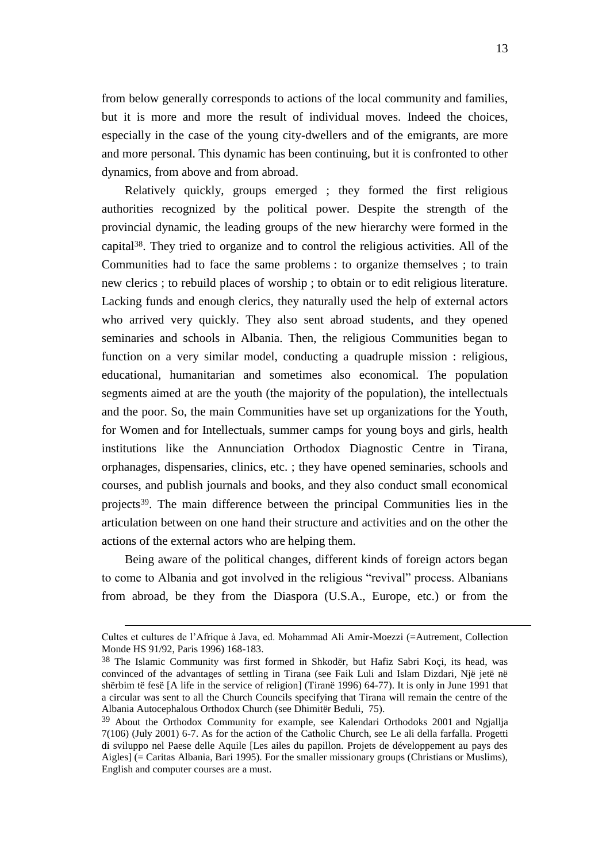from below generally corresponds to actions of the local community and families, but it is more and more the result of individual moves. Indeed the choices, especially in the case of the young city-dwellers and of the emigrants, are more and more personal. This dynamic has been continuing, but it is confronted to other dynamics, from above and from abroad.

Relatively quickly, groups emerged ; they formed the first religious authorities recognized by the political power. Despite the strength of the provincial dynamic, the leading groups of the new hierarchy were formed in the capital38. They tried to organize and to control the religious activities. All of the Communities had to face the same problems : to organize themselves ; to train new clerics ; to rebuild places of worship ; to obtain or to edit religious literature. Lacking funds and enough clerics, they naturally used the help of external actors who arrived very quickly. They also sent abroad students, and they opened seminaries and schools in Albania. Then, the religious Communities began to function on a very similar model, conducting a quadruple mission : religious, educational, humanitarian and sometimes also economical. The population segments aimed at are the youth (the majority of the population), the intellectuals and the poor. So, the main Communities have set up organizations for the Youth, for Women and for Intellectuals, summer camps for young boys and girls, health institutions like the Annunciation Orthodox Diagnostic Centre in Tirana, orphanages, dispensaries, clinics, etc. ; they have opened seminaries, schools and courses, and publish journals and books, and they also conduct small economical projects39. The main difference between the principal Communities lies in the articulation between on one hand their structure and activities and on the other the actions of the external actors who are helping them.

Being aware of the political changes, different kinds of foreign actors began to come to Albania and got involved in the religious "revival" process. Albanians from abroad, be they from the Diaspora (U.S.A., Europe, etc.) or from the

Cultes et cultures de l"Afrique à Java, ed. Mohammad Ali Amir-Moezzi (=Autrement, Collection Monde HS 91/92, Paris 1996) 168-183.

<sup>38</sup> The Islamic Community was first formed in Shkodër, but Hafiz Sabri Koçi, its head, was convinced of the advantages of settling in Tirana (see Faik Luli and Islam Dizdari, Një jetë në shërbim të fesë [A life in the service of religion] (Tiranë 1996) 64-77). It is only in June 1991 that a circular was sent to all the Church Councils specifying that Tirana will remain the centre of the Albania Autocephalous Orthodox Church (see Dhimitër Beduli, 75).

<sup>&</sup>lt;sup>39</sup> About the Orthodox Community for example, see Kalendari Orthodoks 2001 and Ngjallja 7(106) (July 2001) 6-7. As for the action of the Catholic Church, see Le ali della farfalla. Progetti di sviluppo nel Paese delle Aquile [Les ailes du papillon. Projets de développement au pays des Aigles] (= Caritas Albania, Bari 1995). For the smaller missionary groups (Christians or Muslims), English and computer courses are a must.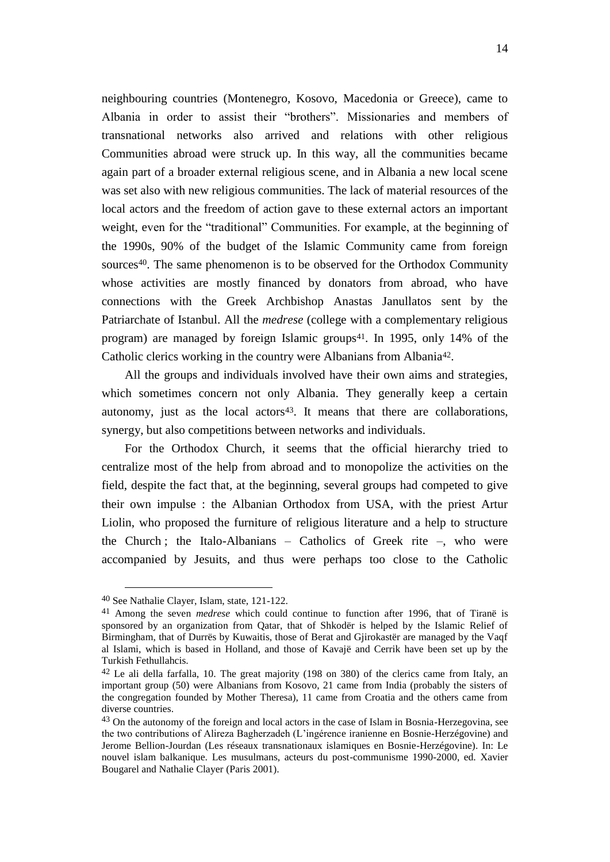neighbouring countries (Montenegro, Kosovo, Macedonia or Greece), came to Albania in order to assist their "brothers". Missionaries and members of transnational networks also arrived and relations with other religious Communities abroad were struck up. In this way, all the communities became again part of a broader external religious scene, and in Albania a new local scene was set also with new religious communities. The lack of material resources of the local actors and the freedom of action gave to these external actors an important weight, even for the "traditional" Communities. For example, at the beginning of the 1990s, 90% of the budget of the Islamic Community came from foreign sources40. The same phenomenon is to be observed for the Orthodox Community whose activities are mostly financed by donators from abroad, who have connections with the Greek Archbishop Anastas Janullatos sent by the Patriarchate of Istanbul. All the *medrese* (college with a complementary religious program) are managed by foreign Islamic groups<sup>41</sup>. In 1995, only 14% of the Catholic clerics working in the country were Albanians from Albania<sup>42</sup>.

All the groups and individuals involved have their own aims and strategies, which sometimes concern not only Albania. They generally keep a certain autonomy, just as the local actors<sup>43</sup>. It means that there are collaborations, synergy, but also competitions between networks and individuals.

For the Orthodox Church, it seems that the official hierarchy tried to centralize most of the help from abroad and to monopolize the activities on the field, despite the fact that, at the beginning, several groups had competed to give their own impulse : the Albanian Orthodox from USA, with the priest Artur Liolin, who proposed the furniture of religious literature and a help to structure the Church ; the Italo-Albanians – Catholics of Greek rite –, who were accompanied by Jesuits, and thus were perhaps too close to the Catholic

<sup>40</sup> See Nathalie Clayer, Islam, state, 121-122.

<sup>41</sup> Among the seven *medrese* which could continue to function after 1996, that of Tiranë is sponsored by an organization from Qatar, that of Shkodër is helped by the Islamic Relief of Birmingham, that of Durrës by Kuwaitis, those of Berat and Gjirokastër are managed by the Vaqf al Islami, which is based in Holland, and those of Kavajë and Cerrik have been set up by the Turkish Fethullahcis.

 $42$  Le ali della farfalla, 10. The great majority (198 on 380) of the clerics came from Italy, an important group (50) were Albanians from Kosovo, 21 came from India (probably the sisters of the congregation founded by Mother Theresa), 11 came from Croatia and the others came from diverse countries.

<sup>&</sup>lt;sup>43</sup> On the autonomy of the foreign and local actors in the case of Islam in Bosnia-Herzegovina, see the two contributions of Alireza Bagherzadeh (L"ingérence iranienne en Bosnie-Herzégovine) and Jerome Bellion-Jourdan (Les réseaux transnationaux islamiques en Bosnie-Herzégovine). In: Le nouvel islam balkanique. Les musulmans, acteurs du post-communisme 1990-2000, ed. Xavier Bougarel and Nathalie Clayer (Paris 2001).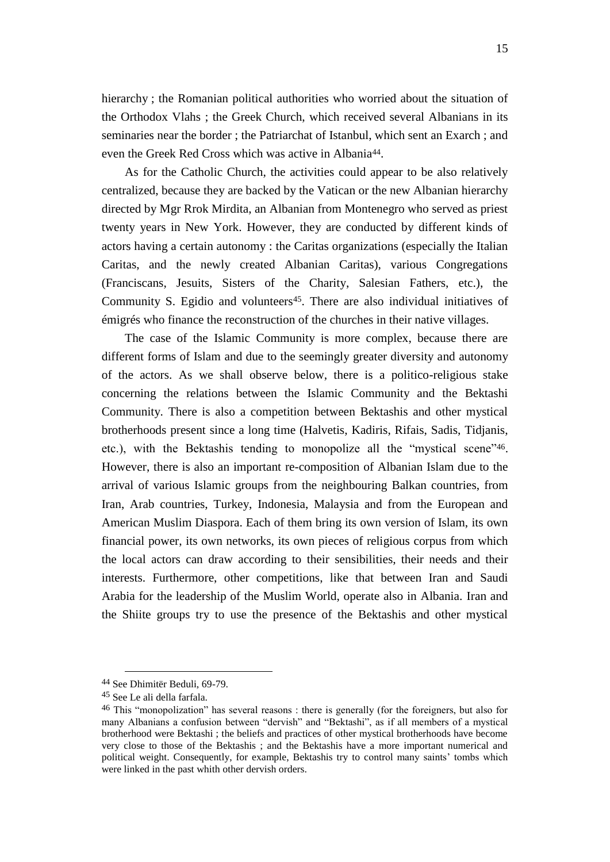hierarchy ; the Romanian political authorities who worried about the situation of the Orthodox Vlahs ; the Greek Church, which received several Albanians in its seminaries near the border ; the Patriarchat of Istanbul, which sent an Exarch ; and even the Greek Red Cross which was active in Albania<sup>44</sup>.

As for the Catholic Church, the activities could appear to be also relatively centralized, because they are backed by the Vatican or the new Albanian hierarchy directed by Mgr Rrok Mirdita, an Albanian from Montenegro who served as priest twenty years in New York. However, they are conducted by different kinds of actors having a certain autonomy : the Caritas organizations (especially the Italian Caritas, and the newly created Albanian Caritas), various Congregations (Franciscans, Jesuits, Sisters of the Charity, Salesian Fathers, etc.), the Community S. Egidio and volunteers<sup>45</sup>. There are also individual initiatives of émigrés who finance the reconstruction of the churches in their native villages.

The case of the Islamic Community is more complex, because there are different forms of Islam and due to the seemingly greater diversity and autonomy of the actors. As we shall observe below, there is a politico-religious stake concerning the relations between the Islamic Community and the Bektashi Community. There is also a competition between Bektashis and other mystical brotherhoods present since a long time (Halvetis, Kadiris, Rifais, Sadis, Tidjanis, etc.), with the Bektashis tending to monopolize all the "mystical scene"46. However, there is also an important re-composition of Albanian Islam due to the arrival of various Islamic groups from the neighbouring Balkan countries, from Iran, Arab countries, Turkey, Indonesia, Malaysia and from the European and American Muslim Diaspora. Each of them bring its own version of Islam, its own financial power, its own networks, its own pieces of religious corpus from which the local actors can draw according to their sensibilities, their needs and their interests. Furthermore, other competitions, like that between Iran and Saudi Arabia for the leadership of the Muslim World, operate also in Albania. Iran and the Shiite groups try to use the presence of the Bektashis and other mystical

<sup>44</sup> See Dhimitër Beduli, 69-79.

<sup>45</sup> See Le ali della farfala.

<sup>46</sup> This "monopolization" has several reasons : there is generally (for the foreigners, but also for many Albanians a confusion between "dervish" and "Bektashi", as if all members of a mystical brotherhood were Bektashi ; the beliefs and practices of other mystical brotherhoods have become very close to those of the Bektashis ; and the Bektashis have a more important numerical and political weight. Consequently, for example, Bektashis try to control many saints" tombs which were linked in the past whith other dervish orders.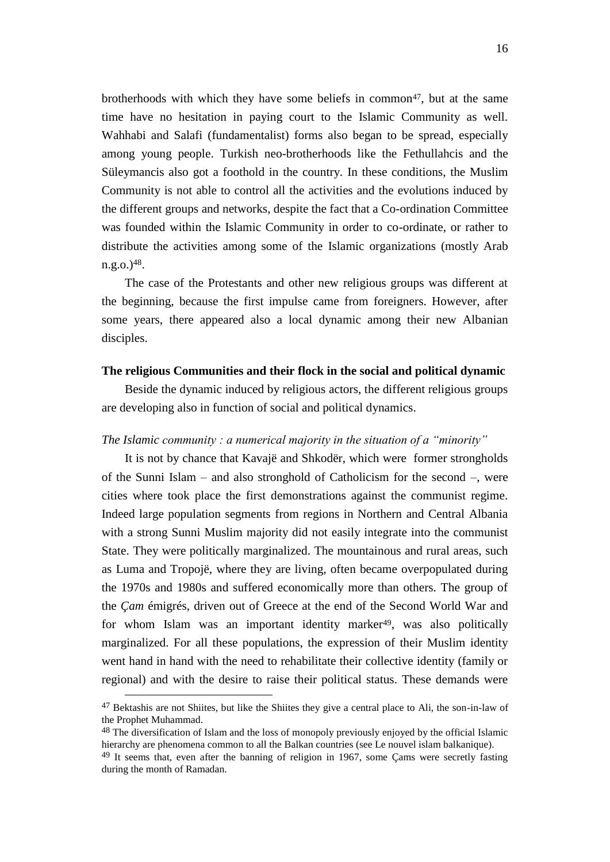brotherhoods with which they have some beliefs in common<sup>47</sup>, but at the same time have no hesitation in paying court to the Islamic Community as well. Wahhabi and Salafi (fundamentalist) forms also began to be spread, especially among young people. Turkish neo-brotherhoods like the Fethullahcis and the Süleymancis also got a foothold in the country. In these conditions, the Muslim Community is not able to control all the activities and the evolutions induced by the different groups and networks, despite the fact that a Co-ordination Committee was founded within the Islamic Community in order to co-ordinate, or rather to distribute the activities among some of the Islamic organizations (mostly Arab  $n.g.$  $o.$  $)$ <sup>48</sup>.

The case of the Protestants and other new religious groups was different at the beginning, because the first impulse came from foreigners. However, after some years, there appeared also a local dynamic among their new Albanian disciples.

#### **The religious Communities and their flock in the social and political dynamic**

Beside the dynamic induced by religious actors, the different religious groups are developing also in function of social and political dynamics.

#### *The Islamic community : a numerical majority in the situation of a "minority"*

It is not by chance that Kavajë and Shkodër, which were former strongholds of the Sunni Islam – and also stronghold of Catholicism for the second –, were cities where took place the first demonstrations against the communist regime. Indeed large population segments from regions in Northern and Central Albania with a strong Sunni Muslim majority did not easily integrate into the communist State. They were politically marginalized. The mountainous and rural areas, such as Luma and Tropojë, where they are living, often became overpopulated during the 1970s and 1980s and suffered economically more than others. The group of the *Çam* émigrés, driven out of Greece at the end of the Second World War and for whom Islam was an important identity marker<sup>49</sup>, was also politically marginalized. For all these populations, the expression of their Muslim identity went hand in hand with the need to rehabilitate their collective identity (family or regional) and with the desire to raise their political status. These demands were

<sup>47</sup> Bektashis are not Shiites, but like the Shiites they give a central place to Ali, the son-in-law of the Prophet Muhammad.

<sup>&</sup>lt;sup>48</sup> The diversification of Islam and the loss of monopoly previously enjoyed by the official Islamic hierarchy are phenomena common to all the Balkan countries (see Le nouvel islam balkanique).

 $49$  It seems that, even after the banning of religion in 1967, some Cams were secretly fasting during the month of Ramadan.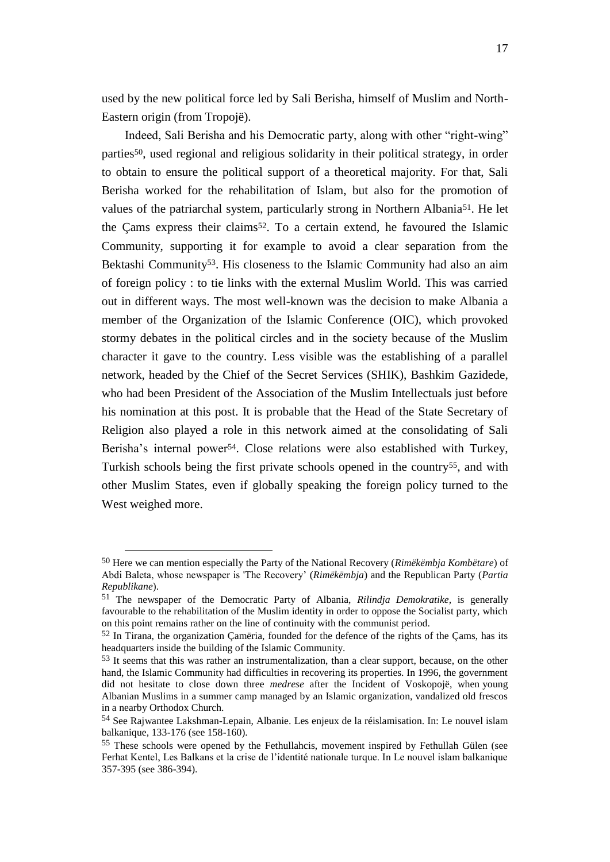used by the new political force led by Sali Berisha, himself of Muslim and North-Eastern origin (from Tropojë).

Indeed, Sali Berisha and his Democratic party, along with other "right-wing" parties50, used regional and religious solidarity in their political strategy, in order to obtain to ensure the political support of a theoretical majority. For that, Sali Berisha worked for the rehabilitation of Islam, but also for the promotion of values of the patriarchal system, particularly strong in Northern Albania51. He let the Çams express their claims52. To a certain extend, he favoured the Islamic Community, supporting it for example to avoid a clear separation from the Bektashi Community<sup>53</sup>. His closeness to the Islamic Community had also an aim of foreign policy : to tie links with the external Muslim World. This was carried out in different ways. The most well-known was the decision to make Albania a member of the Organization of the Islamic Conference (OIC), which provoked stormy debates in the political circles and in the society because of the Muslim character it gave to the country. Less visible was the establishing of a parallel network, headed by the Chief of the Secret Services (SHIK), Bashkim Gazidede, who had been President of the Association of the Muslim Intellectuals just before his nomination at this post. It is probable that the Head of the State Secretary of Religion also played a role in this network aimed at the consolidating of Sali Berisha's internal power<sup>54</sup>. Close relations were also established with Turkey, Turkish schools being the first private schools opened in the country55, and with other Muslim States, even if globally speaking the foreign policy turned to the West weighed more.

-

<sup>50</sup> Here we can mention especially the Party of the National Recovery (*Rimëkëmbja Kombëtare*) of Abdi Baleta, whose newspaper is 'The Recovery" (*Rimëkëmbja*) and the Republican Party (*Partia Republikane*).

<sup>51</sup> The newspaper of the Democratic Party of Albania, *Rilindja Demokratike,* is generally favourable to the rehabilitation of the Muslim identity in order to oppose the Socialist party, which on this point remains rather on the line of continuity with the communist period.

<sup>52</sup> In Tirana, the organization Çamëria, founded for the defence of the rights of the Çams, has its headquarters inside the building of the Islamic Community.

<sup>53</sup> It seems that this was rather an instrumentalization, than a clear support, because, on the other hand, the Islamic Community had difficulties in recovering its properties. In 1996, the government did not hesitate to close down three *medrese* after the Incident of Voskopojë, when young Albanian Muslims in a summer camp managed by an Islamic organization, vandalized old frescos in a nearby Orthodox Church.

<sup>54</sup> See Rajwantee Lakshman-Lepain, Albanie. Les enjeux de la réislamisation. In: Le nouvel islam balkanique, 133-176 (see 158-160).

<sup>55</sup> These schools were opened by the Fethullahcis, movement inspired by Fethullah Gülen (see Ferhat Kentel, Les Balkans et la crise de l"identité nationale turque. In Le nouvel islam balkanique 357-395 (see 386-394).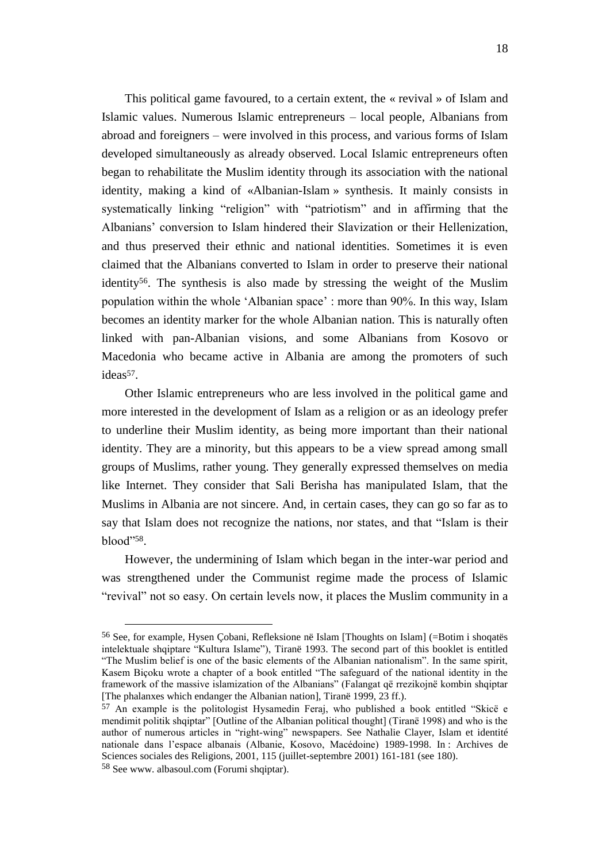This political game favoured, to a certain extent, the « revival » of Islam and Islamic values. Numerous Islamic entrepreneurs – local people, Albanians from abroad and foreigners – were involved in this process, and various forms of Islam developed simultaneously as already observed. Local Islamic entrepreneurs often began to rehabilitate the Muslim identity through its association with the national identity, making a kind of «Albanian-Islam » synthesis. It mainly consists in systematically linking "religion" with "patriotism" and in affirming that the Albanians" conversion to Islam hindered their Slavization or their Hellenization, and thus preserved their ethnic and national identities. Sometimes it is even claimed that the Albanians converted to Islam in order to preserve their national identity56. The synthesis is also made by stressing the weight of the Muslim population within the whole "Albanian space" : more than 90%. In this way, Islam becomes an identity marker for the whole Albanian nation. This is naturally often linked with pan-Albanian visions, and some Albanians from Kosovo or Macedonia who became active in Albania are among the promoters of such ideas<sup>57</sup>.

Other Islamic entrepreneurs who are less involved in the political game and more interested in the development of Islam as a religion or as an ideology prefer to underline their Muslim identity, as being more important than their national identity. They are a minority, but this appears to be a view spread among small groups of Muslims, rather young. They generally expressed themselves on media like Internet. They consider that Sali Berisha has manipulated Islam, that the Muslims in Albania are not sincere. And, in certain cases, they can go so far as to say that Islam does not recognize the nations, nor states, and that "Islam is their blood"58.

However, the undermining of Islam which began in the inter-war period and was strengthened under the Communist regime made the process of Islamic "revival" not so easy. On certain levels now, it places the Muslim community in a

<sup>56</sup> See, for example, Hysen Çobani, Refleksione në Islam [Thoughts on Islam] (=Botim i shoqatës intelektuale shqiptare "Kultura Islame"), Tiranë 1993. The second part of this booklet is entitled "The Muslim belief is one of the basic elements of the Albanian nationalism". In the same spirit, Kasem Biçoku wrote a chapter of a book entitled "The safeguard of the national identity in the framework of the massive islamization of the Albanians" (Falangat që rrezikojnë kombin shqiptar [The phalanxes which endanger the Albanian nation], Tiranë 1999, 23 ff.).

<sup>57</sup> An example is the politologist Hysamedin Feraj, who published a book entitled "Skicë e mendimit politik shqiptar" [Outline of the Albanian political thought] (Tiranë 1998) and who is the author of numerous articles in "right-wing" newspapers. See Nathalie Clayer, Islam et identité nationale dans l"espace albanais (Albanie, Kosovo, Macédoine) 1989-1998. In : Archives de Sciences sociales des Religions, 2001, 115 (juillet-septembre 2001) 161-181 (see 180). 58 See www. albasoul.com (Forumi shqiptar).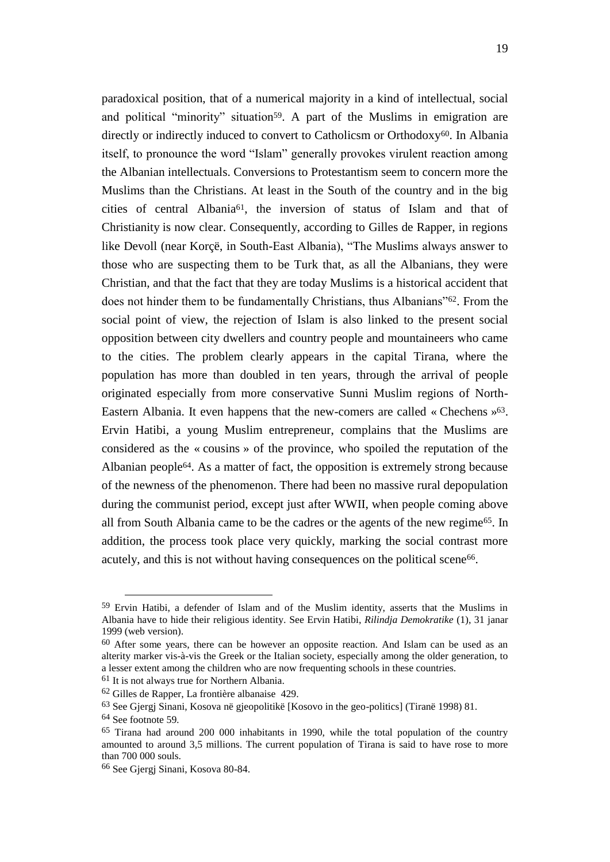paradoxical position, that of a numerical majority in a kind of intellectual, social and political "minority" situation<sup>59</sup>. A part of the Muslims in emigration are directly or indirectly induced to convert to Catholicsm or Orthodoxy<sup>60</sup>. In Albania itself, to pronounce the word "Islam" generally provokes virulent reaction among the Albanian intellectuals. Conversions to Protestantism seem to concern more the Muslims than the Christians. At least in the South of the country and in the big cities of central Albania61, the inversion of status of Islam and that of Christianity is now clear. Consequently, according to Gilles de Rapper, in regions like Devoll (near Korçë, in South-East Albania), "The Muslims always answer to those who are suspecting them to be Turk that, as all the Albanians, they were Christian, and that the fact that they are today Muslims is a historical accident that does not hinder them to be fundamentally Christians, thus Albanians"62. From the social point of view, the rejection of Islam is also linked to the present social opposition between city dwellers and country people and mountaineers who came to the cities. The problem clearly appears in the capital Tirana, where the population has more than doubled in ten years, through the arrival of people originated especially from more conservative Sunni Muslim regions of North-Eastern Albania. It even happens that the new-comers are called « Chechens »63. Ervin Hatibi, a young Muslim entrepreneur, complains that the Muslims are considered as the « cousins » of the province, who spoiled the reputation of the Albanian people64. As a matter of fact, the opposition is extremely strong because of the newness of the phenomenon. There had been no massive rural depopulation during the communist period, except just after WWII, when people coming above all from South Albania came to be the cadres or the agents of the new regime65. In addition, the process took place very quickly, marking the social contrast more acutely, and this is not without having consequences on the political scene<sup>66</sup>.

<sup>59</sup> Ervin Hatibi, a defender of Islam and of the Muslim identity, asserts that the Muslims in Albania have to hide their religious identity. See Ervin Hatibi, *Rilindja Demokratike* (1), 31 janar 1999 (web version).

<sup>60</sup> After some years, there can be however an opposite reaction. And Islam can be used as an alterity marker vis-à-vis the Greek or the Italian society, especially among the older generation, to a lesser extent among the children who are now frequenting schools in these countries.

<sup>61</sup> It is not always true for Northern Albania.

<sup>62</sup> Gilles de Rapper, La frontière albanaise 429.

<sup>63</sup> See Gjergj Sinani, Kosova në gjeopolitikë [Kosovo in the geo-politics] (Tiranë 1998) 81.

<sup>64</sup> See footnote 59*.*

<sup>65</sup> Tirana had around 200 000 inhabitants in 1990, while the total population of the country amounted to around 3,5 millions. The current population of Tirana is said to have rose to more than 700 000 souls.

<sup>66</sup> See Gjergj Sinani, Kosova 80-84.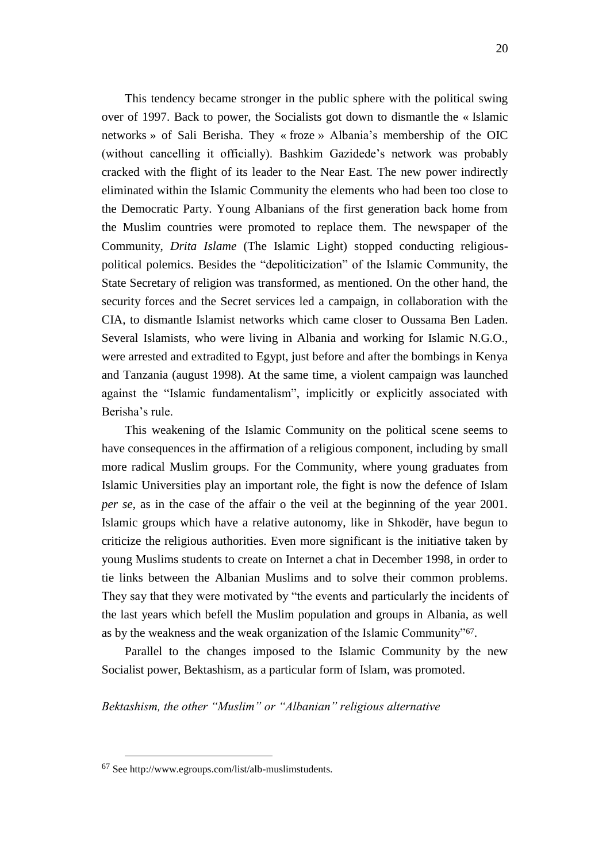This tendency became stronger in the public sphere with the political swing over of 1997. Back to power, the Socialists got down to dismantle the « Islamic networks » of Sali Berisha. They « froze » Albania"s membership of the OIC (without cancelling it officially). Bashkim Gazidede"s network was probably cracked with the flight of its leader to the Near East. The new power indirectly eliminated within the Islamic Community the elements who had been too close to the Democratic Party. Young Albanians of the first generation back home from the Muslim countries were promoted to replace them. The newspaper of the Community, *Drita Islame* (The Islamic Light) stopped conducting religiouspolitical polemics. Besides the "depoliticization" of the Islamic Community, the State Secretary of religion was transformed, as mentioned. On the other hand, the security forces and the Secret services led a campaign, in collaboration with the CIA, to dismantle Islamist networks which came closer to Oussama Ben Laden. Several Islamists, who were living in Albania and working for Islamic N.G.O., were arrested and extradited to Egypt, just before and after the bombings in Kenya and Tanzania (august 1998). At the same time, a violent campaign was launched against the "Islamic fundamentalism", implicitly or explicitly associated with Berisha's rule.

This weakening of the Islamic Community on the political scene seems to have consequences in the affirmation of a religious component, including by small more radical Muslim groups. For the Community, where young graduates from Islamic Universities play an important role, the fight is now the defence of Islam *per se*, as in the case of the affair o the veil at the beginning of the year 2001. Islamic groups which have a relative autonomy, like in Shkodër, have begun to criticize the religious authorities. Even more significant is the initiative taken by young Muslims students to create on Internet a chat in December 1998, in order to tie links between the Albanian Muslims and to solve their common problems. They say that they were motivated by "the events and particularly the incidents of the last years which befell the Muslim population and groups in Albania, as well as by the weakness and the weak organization of the Islamic Community"67.

Parallel to the changes imposed to the Islamic Community by the new Socialist power, Bektashism, as a particular form of Islam, was promoted.

*Bektashism, the other "Muslim" or "Albanian" religious alternative*

<sup>67</sup> See http://www.egroups.com/list/alb-muslimstudents.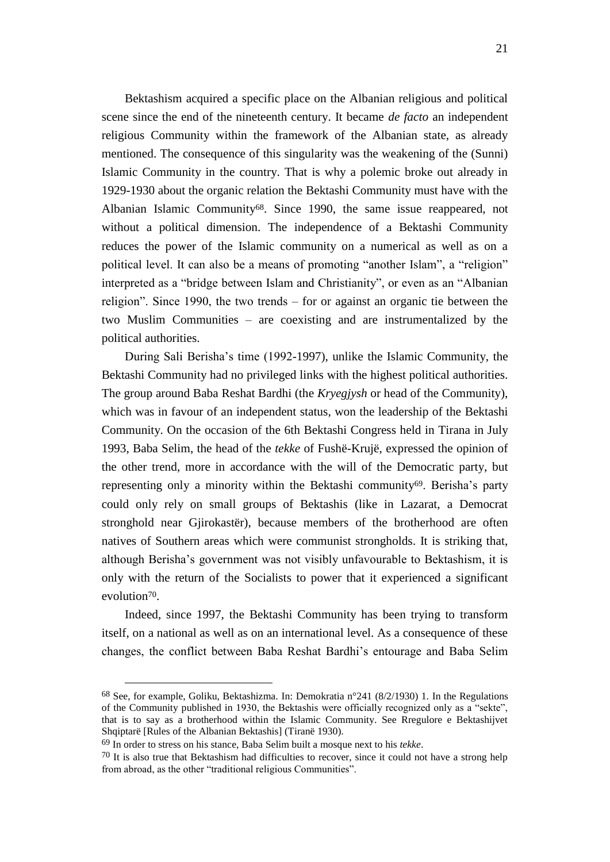Bektashism acquired a specific place on the Albanian religious and political scene since the end of the nineteenth century. It became *de facto* an independent religious Community within the framework of the Albanian state, as already mentioned. The consequence of this singularity was the weakening of the (Sunni) Islamic Community in the country. That is why a polemic broke out already in 1929-1930 about the organic relation the Bektashi Community must have with the Albanian Islamic Community68. Since 1990, the same issue reappeared, not without a political dimension. The independence of a Bektashi Community reduces the power of the Islamic community on a numerical as well as on a political level. It can also be a means of promoting "another Islam", a "religion" interpreted as a "bridge between Islam and Christianity", or even as an "Albanian religion". Since 1990, the two trends – for or against an organic tie between the two Muslim Communities – are coexisting and are instrumentalized by the political authorities.

During Sali Berisha"s time (1992-1997), unlike the Islamic Community, the Bektashi Community had no privileged links with the highest political authorities. The group around Baba Reshat Bardhi (the *Kryegjysh* or head of the Community), which was in favour of an independent status, won the leadership of the Bektashi Community. On the occasion of the 6th Bektashi Congress held in Tirana in July 1993, Baba Selim, the head of the *tekke* of Fushë-Krujë, expressed the opinion of the other trend, more in accordance with the will of the Democratic party, but representing only a minority within the Bektashi community<sup>69</sup>. Berisha's party could only rely on small groups of Bektashis (like in Lazarat, a Democrat stronghold near Gjirokastër), because members of the brotherhood are often natives of Southern areas which were communist strongholds. It is striking that, although Berisha"s government was not visibly unfavourable to Bektashism, it is only with the return of the Socialists to power that it experienced a significant evolution70.

Indeed, since 1997, the Bektashi Community has been trying to transform itself, on a national as well as on an international level. As a consequence of these changes, the conflict between Baba Reshat Bardhi"s entourage and Baba Selim

 $68$  See, for example, Goliku, Bektashizma. In: Demokratia n°241 (8/2/1930) 1. In the Regulations of the Community published in 1930, the Bektashis were officially recognized only as a "sekte", that is to say as a brotherhood within the Islamic Community. See Rregulore e Bektashijvet Shqiptarë [Rules of the Albanian Bektashis] (Tiranë 1930).

<sup>69</sup> In order to stress on his stance, Baba Selim built a mosque next to his *tekke*.

 $70$  It is also true that Bektashism had difficulties to recover, since it could not have a strong help from abroad, as the other "traditional religious Communities".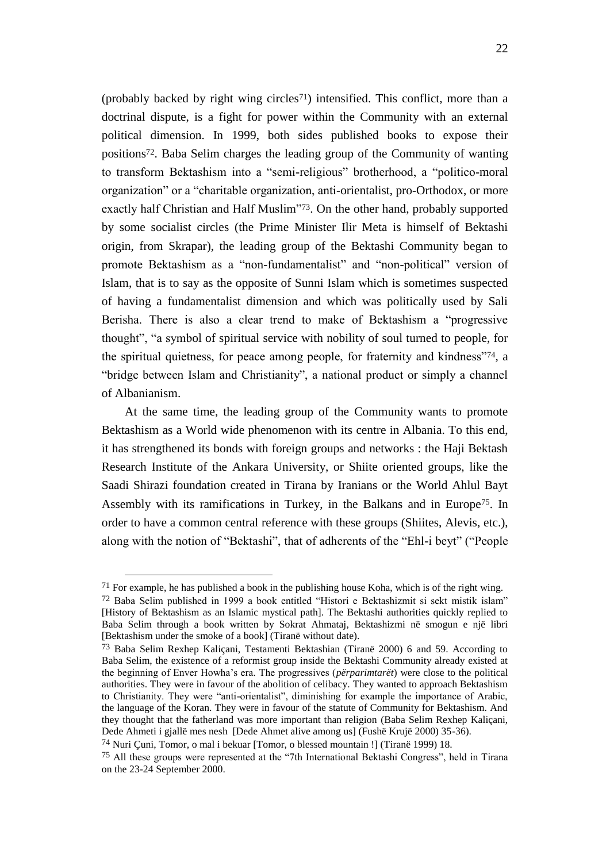(probably backed by right wing circles<sup>71</sup>) intensified. This conflict, more than a doctrinal dispute, is a fight for power within the Community with an external political dimension. In 1999, both sides published books to expose their positions72. Baba Selim charges the leading group of the Community of wanting to transform Bektashism into a "semi-religious" brotherhood, a "politico-moral organization" or a "charitable organization, anti-orientalist, pro-Orthodox, or more exactly half Christian and Half Muslim"73. On the other hand, probably supported by some socialist circles (the Prime Minister Ilir Meta is himself of Bektashi origin, from Skrapar), the leading group of the Bektashi Community began to promote Bektashism as a "non-fundamentalist" and "non-political" version of Islam, that is to say as the opposite of Sunni Islam which is sometimes suspected of having a fundamentalist dimension and which was politically used by Sali Berisha. There is also a clear trend to make of Bektashism a "progressive thought", "a symbol of spiritual service with nobility of soul turned to people, for

the spiritual quietness, for peace among people, for fraternity and kindness"74, a "bridge between Islam and Christianity", a national product or simply a channel of Albanianism.

At the same time, the leading group of the Community wants to promote Bektashism as a World wide phenomenon with its centre in Albania. To this end, it has strengthened its bonds with foreign groups and networks : the Haji Bektash Research Institute of the Ankara University, or Shiite oriented groups, like the Saadi Shirazi foundation created in Tirana by Iranians or the World Ahlul Bayt Assembly with its ramifications in Turkey, in the Balkans and in Europe75. In order to have a common central reference with these groups (Shiites, Alevis, etc.), along with the notion of "Bektashi", that of adherents of the "Ehl-i beyt" ("People

 $71$  For example, he has published a book in the publishing house Koha, which is of the right wing.  $72$  Baba Selim published in 1999 a book entitled "Histori e Bektashizmit si sekt mistik islam" [History of Bektashism as an Islamic mystical path]. The Bektashi authorities quickly replied to Baba Selim through a book written by Sokrat Ahmataj, Bektashizmi në smogun e një libri [Bektashism under the smoke of a book] (Tiranë without date).

<sup>73</sup> Baba Selim Rexhep Kaliçani, Testamenti Bektashian (Tiranë 2000) 6 and 59. According to Baba Selim, the existence of a reformist group inside the Bektashi Community already existed at the beginning of Enver Howha"s era. The progressives (*përparimtarët*) were close to the political authorities. They were in favour of the abolition of celibacy. They wanted to approach Bektashism to Christianity. They were "anti-orientalist", diminishing for example the importance of Arabic, the language of the Koran. They were in favour of the statute of Community for Bektashism. And they thought that the fatherland was more important than religion (Baba Selim Rexhep Kaliçani, Dede Ahmeti i gjallë mes nesh [Dede Ahmet alive among us] (Fushë Krujë 2000) 35-36).

<sup>74</sup> Nuri Çuni, Tomor, o mal i bekuar [Tomor, o blessed mountain !] (Tiranë 1999) 18.

<sup>75</sup> All these groups were represented at the "7th International Bektashi Congress", held in Tirana on the 23-24 September 2000.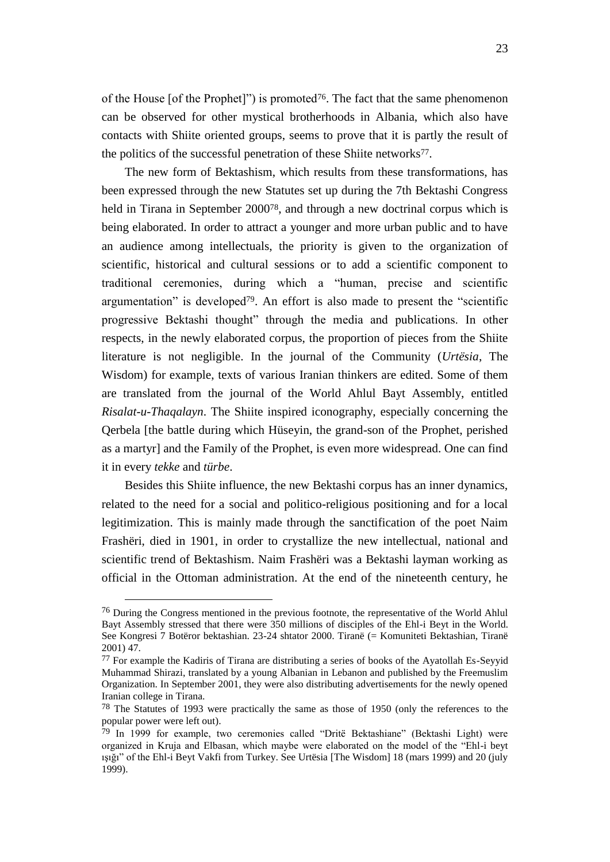of the House [of the Prophet]") is promoted76. The fact that the same phenomenon can be observed for other mystical brotherhoods in Albania, which also have contacts with Shiite oriented groups, seems to prove that it is partly the result of the politics of the successful penetration of these Shiite networks77.

The new form of Bektashism, which results from these transformations, has been expressed through the new Statutes set up during the 7th Bektashi Congress held in Tirana in September 200078, and through a new doctrinal corpus which is being elaborated. In order to attract a younger and more urban public and to have an audience among intellectuals, the priority is given to the organization of scientific, historical and cultural sessions or to add a scientific component to traditional ceremonies, during which a "human, precise and scientific argumentation" is developed79. An effort is also made to present the "scientific progressive Bektashi thought" through the media and publications. In other respects, in the newly elaborated corpus, the proportion of pieces from the Shiite literature is not negligible. In the journal of the Community (*Urtësia*, The Wisdom) for example, texts of various Iranian thinkers are edited. Some of them are translated from the journal of the World Ahlul Bayt Assembly, entitled *Risalat-u-Thaqalayn*. The Shiite inspired iconography, especially concerning the Qerbela [the battle during which Hüseyin, the grand-son of the Prophet, perished as a martyr] and the Family of the Prophet, is even more widespread. One can find it in every *tekke* and *türbe*.

Besides this Shiite influence, the new Bektashi corpus has an inner dynamics, related to the need for a social and politico-religious positioning and for a local legitimization. This is mainly made through the sanctification of the poet Naim Frashëri, died in 1901, in order to crystallize the new intellectual, national and scientific trend of Bektashism. Naim Frashëri was a Bektashi layman working as official in the Ottoman administration. At the end of the nineteenth century, he

<sup>&</sup>lt;sup>76</sup> During the Congress mentioned in the previous footnote, the representative of the World Ahlul Bayt Assembly stressed that there were 350 millions of disciples of the Ehl-i Beyt in the World. See Kongresi 7 Botëror bektashian. 23-24 shtator 2000. Tiranë (= Komuniteti Bektashian, Tiranë 2001) 47.

<sup>77</sup> For example the Kadiris of Tirana are distributing a series of books of the Ayatollah Es-Seyyid Muhammad Shirazi, translated by a young Albanian in Lebanon and published by the Freemuslim Organization. In September 2001, they were also distributing advertisements for the newly opened Iranian college in Tirana.

<sup>78</sup> The Statutes of 1993 were practically the same as those of 1950 (only the references to the popular power were left out).

<sup>79</sup> In 1999 for example, two ceremonies called "Dritë Bektashiane" (Bektashi Light) were organized in Kruja and Elbasan, which maybe were elaborated on the model of the "Ehl-i beyt ışığı" of the Ehl-i Beyt Vakfi from Turkey. See Urtësia [The Wisdom] 18 (mars 1999) and 20 (july 1999).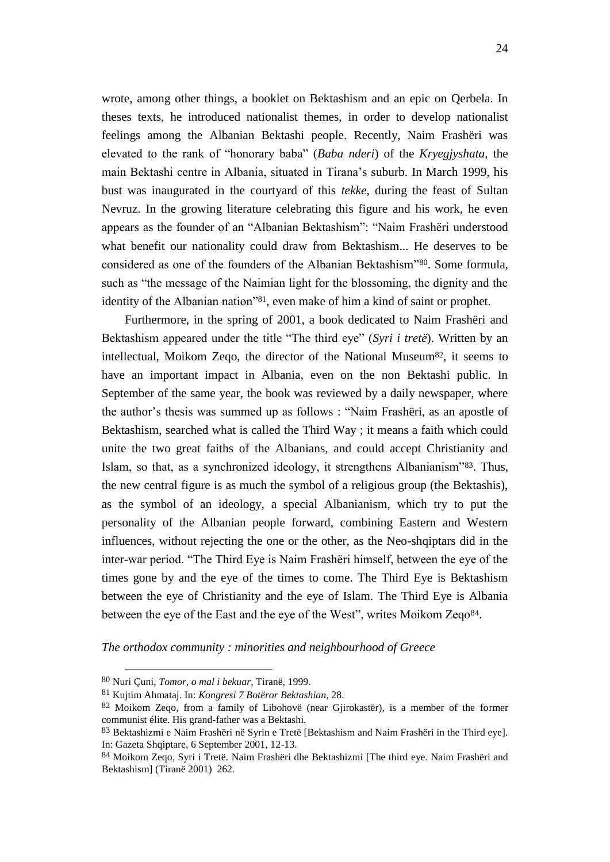wrote, among other things, a booklet on Bektashism and an epic on Qerbela. In theses texts, he introduced nationalist themes, in order to develop nationalist feelings among the Albanian Bektashi people. Recently, Naim Frashëri was elevated to the rank of "honorary baba" (*Baba nderi*) of the *Kryegjyshata,* the main Bektashi centre in Albania, situated in Tirana"s suburb. In March 1999, his bust was inaugurated in the courtyard of this *tekke*, during the feast of Sultan Nevruz. In the growing literature celebrating this figure and his work, he even appears as the founder of an "Albanian Bektashism": "Naim Frashëri understood what benefit our nationality could draw from Bektashism... He deserves to be considered as one of the founders of the Albanian Bektashism"80. Some formula, such as "the message of the Naimian light for the blossoming, the dignity and the identity of the Albanian nation"81, even make of him a kind of saint or prophet.

Furthermore, in the spring of 2001, a book dedicated to Naim Frashëri and Bektashism appeared under the title "The third eye" (*Syri i tretë*). Written by an intellectual, Moikom Zeqo, the director of the National Museum $82$ , it seems to have an important impact in Albania, even on the non Bektashi public. In September of the same year, the book was reviewed by a daily newspaper, where the author"s thesis was summed up as follows : "Naim Frashëri, as an apostle of Bektashism, searched what is called the Third Way ; it means a faith which could unite the two great faiths of the Albanians, and could accept Christianity and Islam, so that, as a synchronized ideology, it strengthens Albanianism"83. Thus, the new central figure is as much the symbol of a religious group (the Bektashis), as the symbol of an ideology, a special Albanianism, which try to put the personality of the Albanian people forward, combining Eastern and Western influences, without rejecting the one or the other, as the Neo-shqiptars did in the inter-war period. "The Third Eye is Naim Frashëri himself, between the eye of the times gone by and the eye of the times to come. The Third Eye is Bektashism between the eye of Christianity and the eye of Islam. The Third Eye is Albania between the eye of the East and the eye of the West", writes Moikom Zeqo<sup>84</sup>.

*The orthodox community : minorities and neighbourhood of Greece*

<sup>80</sup> Nuri Çuni, *Tomor, o mal i bekuar*, Tiranë, 1999.

<sup>81</sup> Kujtim Ahmataj. In: *Kongresi 7 Botëror Bektashian*, 28.

<sup>82</sup> Moikom Zeqo, from a family of Libohovë (near Gjirokastër), is a member of the former communist élite. His grand-father was a Bektashi.

<sup>83</sup> Bektashizmi e Naim Frashëri në Syrin e Tretë [Bektashism and Naim Frashëri in the Third eye]. In: Gazeta Shqiptare, 6 September 2001, 12-13.

<sup>84</sup> Moikom Zeqo, Syri i Tretë. Naim Frashëri dhe Bektashizmi [The third eye. Naim Frashëri and Bektashism] (Tiranë 2001) 262.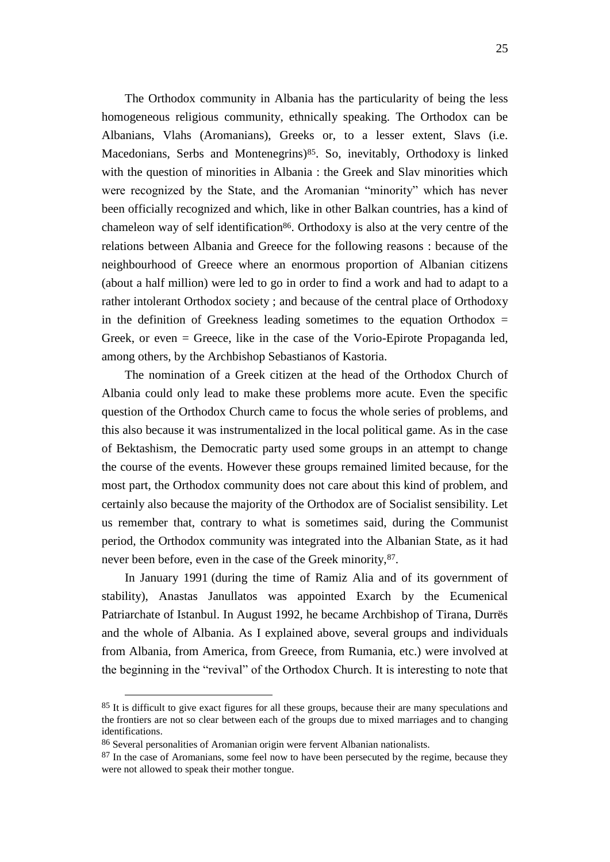The Orthodox community in Albania has the particularity of being the less homogeneous religious community, ethnically speaking. The Orthodox can be Albanians, Vlahs (Aromanians), Greeks or, to a lesser extent, Slavs (i.e. Macedonians, Serbs and Montenegrins)<sup>85</sup>. So, inevitably, Orthodoxy is linked with the question of minorities in Albania : the Greek and Slav minorities which were recognized by the State, and the Aromanian "minority" which has never been officially recognized and which, like in other Balkan countries, has a kind of chameleon way of self identification<sup>86</sup>. Orthodoxy is also at the very centre of the relations between Albania and Greece for the following reasons : because of the neighbourhood of Greece where an enormous proportion of Albanian citizens (about a half million) were led to go in order to find a work and had to adapt to a rather intolerant Orthodox society ; and because of the central place of Orthodoxy in the definition of Greekness leading sometimes to the equation Orthodox  $=$ Greek, or even = Greece, like in the case of the Vorio-Epirote Propaganda led, among others, by the Archbishop Sebastianos of Kastoria.

The nomination of a Greek citizen at the head of the Orthodox Church of Albania could only lead to make these problems more acute. Even the specific question of the Orthodox Church came to focus the whole series of problems, and this also because it was instrumentalized in the local political game. As in the case of Bektashism, the Democratic party used some groups in an attempt to change the course of the events. However these groups remained limited because, for the most part, the Orthodox community does not care about this kind of problem, and certainly also because the majority of the Orthodox are of Socialist sensibility. Let us remember that, contrary to what is sometimes said, during the Communist period, the Orthodox community was integrated into the Albanian State, as it had never been before, even in the case of the Greek minority,  $87$ .

In January 1991 (during the time of Ramiz Alia and of its government of stability), Anastas Janullatos was appointed Exarch by the Ecumenical Patriarchate of Istanbul. In August 1992, he became Archbishop of Tirana, Durrës and the whole of Albania. As I explained above, several groups and individuals from Albania, from America, from Greece, from Rumania, etc.) were involved at the beginning in the "revival" of the Orthodox Church. It is interesting to note that

<sup>&</sup>lt;sup>85</sup> It is difficult to give exact figures for all these groups, because their are many speculations and the frontiers are not so clear between each of the groups due to mixed marriages and to changing identifications.

<sup>86</sup> Several personalities of Aromanian origin were fervent Albanian nationalists.

<sup>&</sup>lt;sup>87</sup> In the case of Aromanians, some feel now to have been persecuted by the regime, because they were not allowed to speak their mother tongue.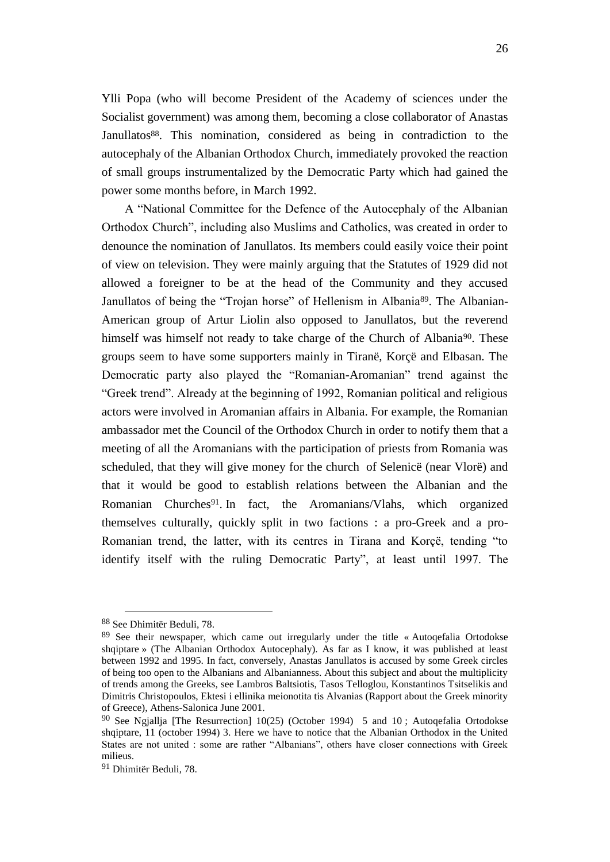Ylli Popa (who will become President of the Academy of sciences under the Socialist government) was among them, becoming a close collaborator of Anastas Janullatos<sup>88</sup>. This nomination, considered as being in contradiction to the autocephaly of the Albanian Orthodox Church, immediately provoked the reaction of small groups instrumentalized by the Democratic Party which had gained the power some months before, in March 1992.

A "National Committee for the Defence of the Autocephaly of the Albanian Orthodox Church", including also Muslims and Catholics, was created in order to denounce the nomination of Janullatos. Its members could easily voice their point of view on television. They were mainly arguing that the Statutes of 1929 did not allowed a foreigner to be at the head of the Community and they accused Janullatos of being the "Trojan horse" of Hellenism in Albania89. The Albanian-American group of Artur Liolin also opposed to Janullatos, but the reverend himself was himself not ready to take charge of the Church of Albania<sup>90</sup>. These groups seem to have some supporters mainly in Tiranë, Korçë and Elbasan. The Democratic party also played the "Romanian-Aromanian" trend against the "Greek trend". Already at the beginning of 1992, Romanian political and religious actors were involved in Aromanian affairs in Albania. For example, the Romanian ambassador met the Council of the Orthodox Church in order to notify them that a meeting of all the Aromanians with the participation of priests from Romania was scheduled, that they will give money for the church of Selenicë (near Vlorë) and that it would be good to establish relations between the Albanian and the Romanian Churches91. In fact, the Aromanians/Vlahs, which organized themselves culturally, quickly split in two factions : a pro-Greek and a pro-Romanian trend, the latter, with its centres in Tirana and Korçë, tending "to identify itself with the ruling Democratic Party", at least until 1997. The

<sup>88</sup> See Dhimitër Beduli, 78.

<sup>89</sup> See their newspaper, which came out irregularly under the title « Autoqefalia Ortodokse shqiptare » (The Albanian Orthodox Autocephaly). As far as I know, it was published at least between 1992 and 1995. In fact, conversely, Anastas Janullatos is accused by some Greek circles of being too open to the Albanians and Albanianness. About this subject and about the multiplicity of trends among the Greeks, see Lambros Baltsiotis, Tasos Telloglou, Konstantinos Tsitselikis and Dimitris Christopoulos, Ektesi i ellinika meionotita tis Alvanias (Rapport about the Greek minority of Greece), Athens-Salonica June 2001.

<sup>&</sup>lt;sup>90</sup> See Ngjallja [The Resurrection]  $10(25)$  (October 1994) 5 and 10; Autoqefalia Ortodokse shqiptare, 11 (october 1994) 3. Here we have to notice that the Albanian Orthodox in the United States are not united : some are rather "Albanians", others have closer connections with Greek milieus.

<sup>91</sup> Dhimitër Beduli, 78.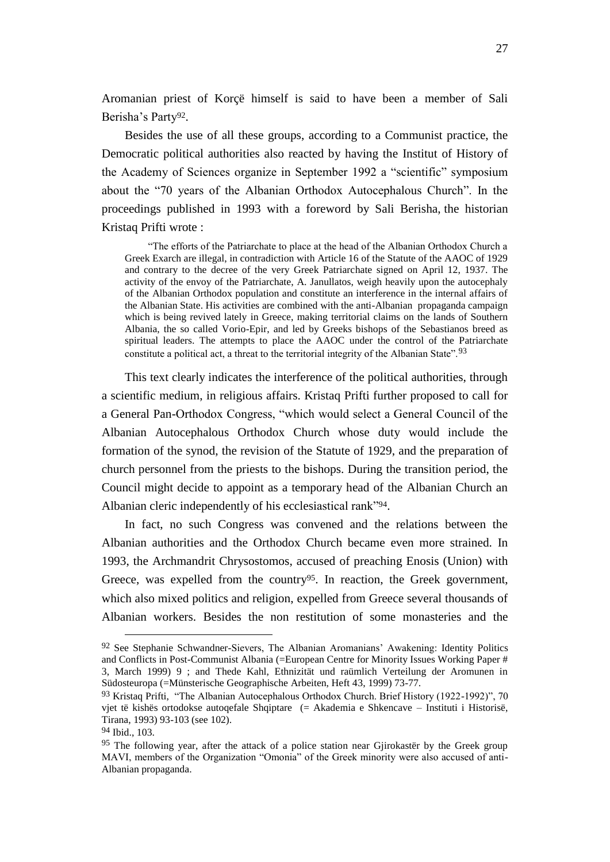Aromanian priest of Korçë himself is said to have been a member of Sali Berisha's Party<sup>92</sup>.

Besides the use of all these groups, according to a Communist practice, the Democratic political authorities also reacted by having the Institut of History of the Academy of Sciences organize in September 1992 a "scientific" symposium about the "70 years of the Albanian Orthodox Autocephalous Church". In the proceedings published in 1993 with a foreword by Sali Berisha, the historian Kristaq Prifti wrote :

"The efforts of the Patriarchate to place at the head of the Albanian Orthodox Church a Greek Exarch are illegal, in contradiction with Article 16 of the Statute of the AAOC of 1929 and contrary to the decree of the very Greek Patriarchate signed on April 12, 1937. The activity of the envoy of the Patriarchate, A. Janullatos, weigh heavily upon the autocephaly of the Albanian Orthodox population and constitute an interference in the internal affairs of the Albanian State. His activities are combined with the anti-Albanian propaganda campaign which is being revived lately in Greece, making territorial claims on the lands of Southern Albania, the so called Vorio-Epir, and led by Greeks bishops of the Sebastianos breed as spiritual leaders. The attempts to place the AAOC under the control of the Patriarchate constitute a political act, a threat to the territorial integrity of the Albanian State".93

This text clearly indicates the interference of the political authorities, through a scientific medium, in religious affairs. Kristaq Prifti further proposed to call for a General Pan-Orthodox Congress, "which would select a General Council of the Albanian Autocephalous Orthodox Church whose duty would include the formation of the synod, the revision of the Statute of 1929, and the preparation of church personnel from the priests to the bishops. During the transition period, the Council might decide to appoint as a temporary head of the Albanian Church an Albanian cleric independently of his ecclesiastical rank"94.

In fact, no such Congress was convened and the relations between the Albanian authorities and the Orthodox Church became even more strained. In 1993, the Archmandrit Chrysostomos, accused of preaching Enosis (Union) with Greece, was expelled from the country<sup>95</sup>. In reaction, the Greek government, which also mixed politics and religion, expelled from Greece several thousands of Albanian workers. Besides the non restitution of some monasteries and the

<sup>92</sup> See Stephanie Schwandner-Sievers, The Albanian Aromanians' Awakening: Identity Politics and Conflicts in Post-Communist Albania (=European Centre for Minority Issues Working Paper # 3, March 1999) 9 ; and Thede Kahl, Ethnizität und raümlich Verteilung der Aromunen in Südosteuropa (=Münsterische Geographische Arbeiten, Heft 43, 1999) 73-77.

<sup>93</sup> Kristaq Prifti, "The Albanian Autocephalous Orthodox Church. Brief History (1922-1992)", 70 vjet të kishës ortodokse autoqefale Shqiptare (= Akademia e Shkencave – Instituti i Historisë, Tirana, 1993) 93-103 (see 102).

<sup>94</sup> Ibid., 103.

<sup>&</sup>lt;sup>95</sup> The following year, after the attack of a police station near Gjirokastër by the Greek group MAVI, members of the Organization "Omonia" of the Greek minority were also accused of anti-Albanian propaganda.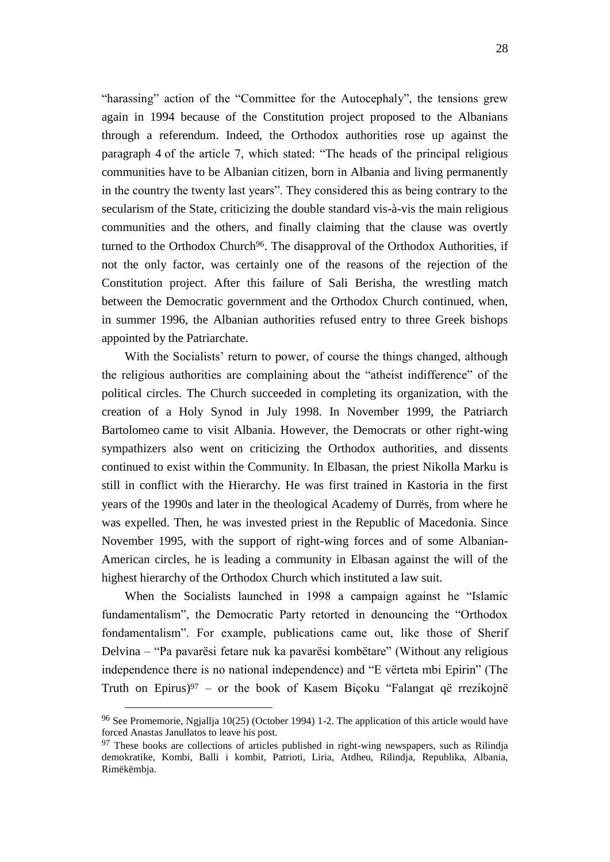"harassing" action of the "Committee for the Autocephaly", the tensions grew again in 1994 because of the Constitution project proposed to the Albanians through a referendum. Indeed, the Orthodox authorities rose up against the paragraph 4 of the article 7, which stated: "The heads of the principal religious communities have to be Albanian citizen, born in Albania and living permanently in the country the twenty last years". They considered this as being contrary to the secularism of the State, criticizing the double standard vis-à-vis the main religious communities and the others, and finally claiming that the clause was overtly turned to the Orthodox Church<sup>96</sup>. The disapproval of the Orthodox Authorities, if not the only factor, was certainly one of the reasons of the rejection of the Constitution project. After this failure of Sali Berisha, the wrestling match between the Democratic government and the Orthodox Church continued, when, in summer 1996, the Albanian authorities refused entry to three Greek bishops appointed by the Patriarchate.

With the Socialists' return to power, of course the things changed, although the religious authorities are complaining about the "atheist indifference" of the political circles. The Church succeeded in completing its organization, with the creation of a Holy Synod in July 1998. In November 1999, the Patriarch Bartolomeo came to visit Albania. However, the Democrats or other right-wing sympathizers also went on criticizing the Orthodox authorities, and dissents continued to exist within the Community. In Elbasan, the priest Nikolla Marku is still in conflict with the Hierarchy. He was first trained in Kastoria in the first years of the 1990s and later in the theological Academy of Durrës, from where he was expelled. Then, he was invested priest in the Republic of Macedonia. Since November 1995, with the support of right-wing forces and of some Albanian-American circles, he is leading a community in Elbasan against the will of the highest hierarchy of the Orthodox Church which instituted a law suit.

When the Socialists launched in 1998 a campaign against he "Islamic fundamentalism", the Democratic Party retorted in denouncing the "Orthodox fondamentalism". For example, publications came out, like those of Sherif Delvina – "Pa pavarësi fetare nuk ka pavarësi kombëtare" (Without any religious independence there is no national independence) and "E vërteta mbi Epirin" (The Truth on Epirus)<sup>97</sup> – or the book of Kasem Biçoku "Falangat që rrezikojnë

<sup>96</sup> See Promemorie, Ngjallja 10(25) (October 1994) 1-2. The application of this article would have forced Anastas Janullatos to leave his post.

 $97$  These books are collections of articles published in right-wing newspapers, such as Rilindja demokratike, Kombi, Balli i kombit, Patrioti, Liria, Atdheu, Rilindja, Republika, Albania, Rimëkëmbja.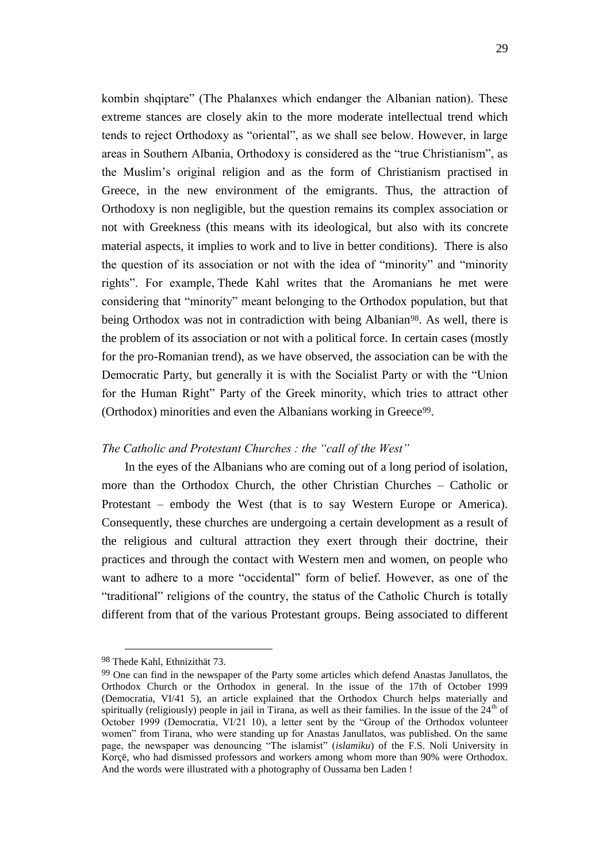29

kombin shqiptare" (The Phalanxes which endanger the Albanian nation). These extreme stances are closely akin to the more moderate intellectual trend which tends to reject Orthodoxy as "oriental", as we shall see below. However, in large areas in Southern Albania, Orthodoxy is considered as the "true Christianism", as the Muslim"s original religion and as the form of Christianism practised in Greece, in the new environment of the emigrants. Thus, the attraction of Orthodoxy is non negligible, but the question remains its complex association or not with Greekness (this means with its ideological, but also with its concrete material aspects, it implies to work and to live in better conditions). There is also the question of its association or not with the idea of "minority" and "minority rights". For example, Thede Kahl writes that the Aromanians he met were considering that "minority" meant belonging to the Orthodox population, but that being Orthodox was not in contradiction with being Albanian<sup>98</sup>. As well, there is the problem of its association or not with a political force. In certain cases (mostly for the pro-Romanian trend), as we have observed, the association can be with the Democratic Party, but generally it is with the Socialist Party or with the "Union for the Human Right" Party of the Greek minority, which tries to attract other (Orthodox) minorities and even the Albanians working in Greece<sup>99</sup>.

#### *The Catholic and Protestant Churches : the "call of the West"*

In the eyes of the Albanians who are coming out of a long period of isolation, more than the Orthodox Church, the other Christian Churches – Catholic or Protestant – embody the West (that is to say Western Europe or America). Consequently, these churches are undergoing a certain development as a result of the religious and cultural attraction they exert through their doctrine, their practices and through the contact with Western men and women, on people who want to adhere to a more "occidental" form of belief. However, as one of the "traditional" religions of the country, the status of the Catholic Church is totally different from that of the various Protestant groups. Being associated to different

<sup>98</sup> Thede Kahl, Ethnizithät 73.

<sup>99</sup> One can find in the newspaper of the Party some articles which defend Anastas Janullatos, the Orthodox Church or the Orthodox in general. In the issue of the 17th of October 1999 (Democratia, VI/41 5), an article explained that the Orthodox Church helps materially and spiritually (religiously) people in jail in Tirana, as well as their families. In the issue of the 24<sup>th</sup> of October 1999 (Democratia, VI/21 10), a letter sent by the "Group of the Orthodox volunteer women" from Tirana, who were standing up for Anastas Janullatos, was published. On the same page, the newspaper was denouncing "The islamist" (*islamiku*) of the F.S. Noli University in Korçë, who had dismissed professors and workers among whom more than 90% were Orthodox. And the words were illustrated with a photography of Oussama ben Laden !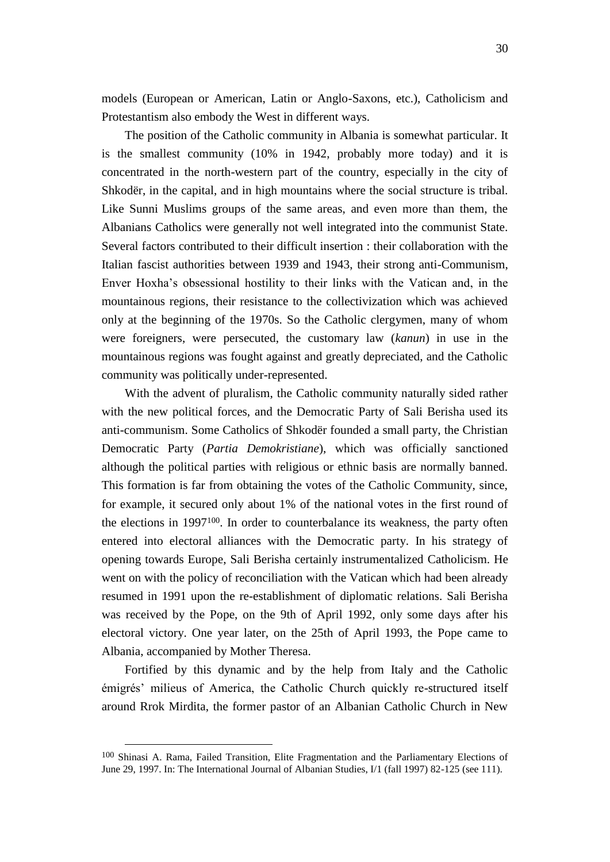models (European or American, Latin or Anglo-Saxons, etc.), Catholicism and Protestantism also embody the West in different ways.

The position of the Catholic community in Albania is somewhat particular. It is the smallest community (10% in 1942, probably more today) and it is concentrated in the north-western part of the country, especially in the city of Shkodër, in the capital, and in high mountains where the social structure is tribal. Like Sunni Muslims groups of the same areas, and even more than them, the Albanians Catholics were generally not well integrated into the communist State. Several factors contributed to their difficult insertion : their collaboration with the Italian fascist authorities between 1939 and 1943, their strong anti-Communism, Enver Hoxha"s obsessional hostility to their links with the Vatican and, in the mountainous regions, their resistance to the collectivization which was achieved only at the beginning of the 1970s. So the Catholic clergymen, many of whom were foreigners, were persecuted, the customary law (*kanun*) in use in the mountainous regions was fought against and greatly depreciated, and the Catholic community was politically under-represented.

With the advent of pluralism, the Catholic community naturally sided rather with the new political forces, and the Democratic Party of Sali Berisha used its anti-communism. Some Catholics of Shkodër founded a small party, the Christian Democratic Party (*Partia Demokristiane*), which was officially sanctioned although the political parties with religious or ethnic basis are normally banned. This formation is far from obtaining the votes of the Catholic Community, since, for example, it secured only about 1% of the national votes in the first round of the elections in 1997100. In order to counterbalance its weakness, the party often entered into electoral alliances with the Democratic party. In his strategy of opening towards Europe, Sali Berisha certainly instrumentalized Catholicism. He went on with the policy of reconciliation with the Vatican which had been already resumed in 1991 upon the re-establishment of diplomatic relations. Sali Berisha was received by the Pope, on the 9th of April 1992, only some days after his electoral victory. One year later, on the 25th of April 1993, the Pope came to Albania, accompanied by Mother Theresa.

Fortified by this dynamic and by the help from Italy and the Catholic émigrés" milieus of America, the Catholic Church quickly re-structured itself around Rrok Mirdita, the former pastor of an Albanian Catholic Church in New

<sup>100</sup> Shinasi A. Rama, Failed Transition, Elite Fragmentation and the Parliamentary Elections of June 29, 1997. In: The International Journal of Albanian Studies, I/1 (fall 1997) 82-125 (see 111).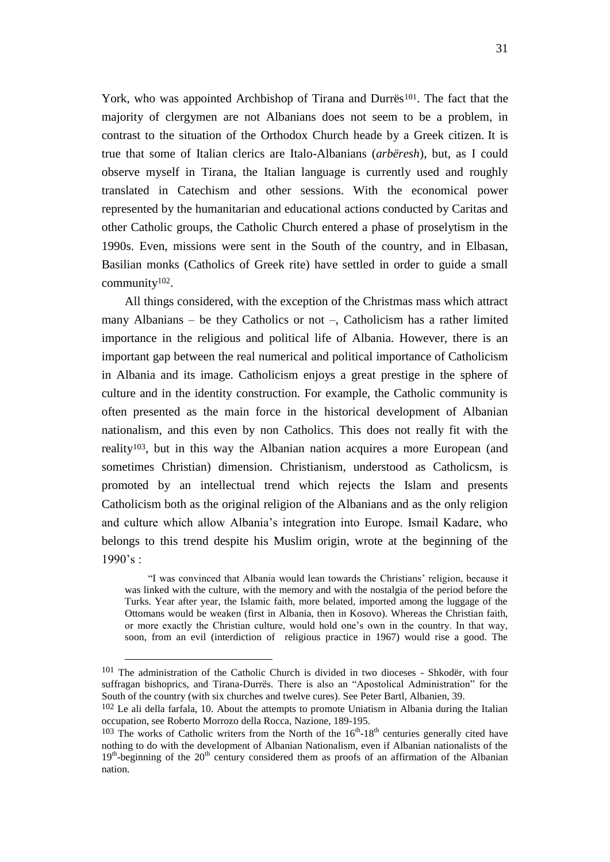York, who was appointed Archbishop of Tirana and Durrës<sup>101</sup>. The fact that the majority of clergymen are not Albanians does not seem to be a problem, in contrast to the situation of the Orthodox Church heade by a Greek citizen. It is true that some of Italian clerics are Italo-Albanians (*arbëresh*), but, as I could observe myself in Tirana, the Italian language is currently used and roughly translated in Catechism and other sessions. With the economical power represented by the humanitarian and educational actions conducted by Caritas and other Catholic groups, the Catholic Church entered a phase of proselytism in the 1990s. Even, missions were sent in the South of the country, and in Elbasan, Basilian monks (Catholics of Greek rite) have settled in order to guide a small community102.

All things considered, with the exception of the Christmas mass which attract many Albanians – be they Catholics or not –, Catholicism has a rather limited importance in the religious and political life of Albania. However, there is an important gap between the real numerical and political importance of Catholicism in Albania and its image. Catholicism enjoys a great prestige in the sphere of culture and in the identity construction. For example, the Catholic community is often presented as the main force in the historical development of Albanian nationalism, and this even by non Catholics. This does not really fit with the reality103, but in this way the Albanian nation acquires a more European (and sometimes Christian) dimension. Christianism, understood as Catholicsm, is promoted by an intellectual trend which rejects the Islam and presents Catholicism both as the original religion of the Albanians and as the only religion and culture which allow Albania"s integration into Europe. Ismail Kadare, who belongs to this trend despite his Muslim origin, wrote at the beginning of the  $1990's:$ 

"I was convinced that Albania would lean towards the Christians" religion, because it was linked with the culture, with the memory and with the nostalgia of the period before the Turks. Year after year, the Islamic faith, more belated, imported among the luggage of the Ottomans would be weaken (first in Albania, then in Kosovo). Whereas the Christian faith, or more exactly the Christian culture, would hold one"s own in the country. In that way, soon, from an evil (interdiction of religious practice in 1967) would rise a good. The

1

<sup>101</sup> The administration of the Catholic Church is divided in two dioceses - Shkodër, with four suffragan bishoprics, and Tirana-Durrës. There is also an "Apostolical Administration" for the South of the country (with six churches and twelve cures). See Peter Bartl, Albanien, 39.

<sup>102</sup> Le ali della farfala, 10. About the attempts to promote Uniatism in Albania during the Italian occupation, see Roberto Morrozo della Rocca, Nazione, 189-195.

 $103$  The works of Catholic writers from the North of the  $16<sup>th</sup>$ -18<sup>th</sup> centuries generally cited have nothing to do with the development of Albanian Nationalism, even if Albanian nationalists of the 19<sup>th</sup>-beginning of the 20<sup>th</sup> century considered them as proofs of an affirmation of the Albanian nation.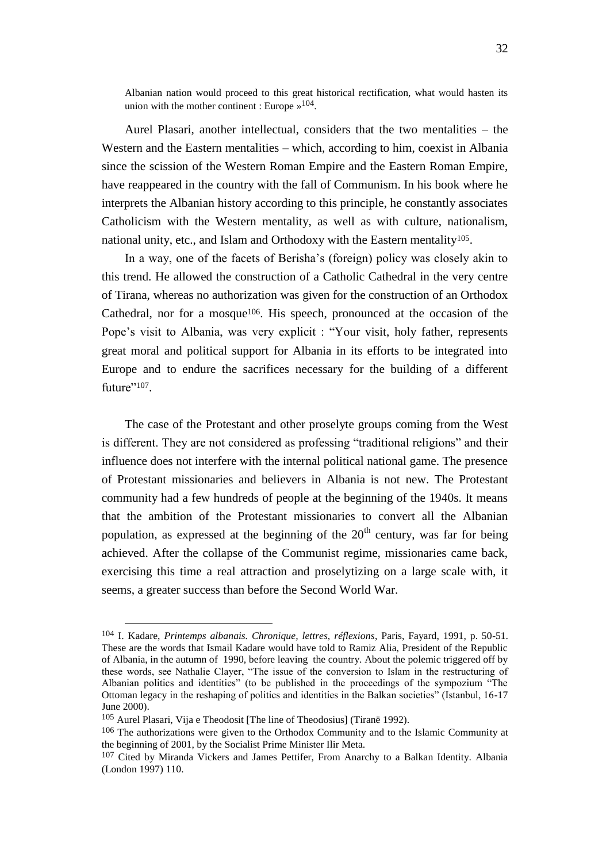Albanian nation would proceed to this great historical rectification, what would hasten its union with the mother continent : Europe  $\approx$  104.

Aurel Plasari, another intellectual, considers that the two mentalities – the Western and the Eastern mentalities – which, according to him, coexist in Albania since the scission of the Western Roman Empire and the Eastern Roman Empire, have reappeared in the country with the fall of Communism. In his book where he interprets the Albanian history according to this principle, he constantly associates Catholicism with the Western mentality, as well as with culture, nationalism, national unity, etc., and Islam and Orthodoxy with the Eastern mentality<sup>105</sup>.

In a way, one of the facets of Berisha"s (foreign) policy was closely akin to this trend. He allowed the construction of a Catholic Cathedral in the very centre of Tirana, whereas no authorization was given for the construction of an Orthodox Cathedral, nor for a mosque<sup>106</sup>. His speech, pronounced at the occasion of the Pope"s visit to Albania, was very explicit : "Your visit, holy father, represents great moral and political support for Albania in its efforts to be integrated into Europe and to endure the sacrifices necessary for the building of a different future"<sup>107</sup>.

The case of the Protestant and other proselyte groups coming from the West is different. They are not considered as professing "traditional religions" and their influence does not interfere with the internal political national game. The presence of Protestant missionaries and believers in Albania is not new. The Protestant community had a few hundreds of people at the beginning of the 1940s. It means that the ambition of the Protestant missionaries to convert all the Albanian population, as expressed at the beginning of the  $20<sup>th</sup>$  century, was far for being achieved. After the collapse of the Communist regime, missionaries came back, exercising this time a real attraction and proselytizing on a large scale with, it seems, a greater success than before the Second World War.

<sup>104</sup> I. Kadare, *Printemps albanais. Chronique, lettres, réflexions*, Paris, Fayard, 1991, p. 50-51. These are the words that Ismail Kadare would have told to Ramiz Alia, President of the Republic of Albania, in the autumn of 1990, before leaving the country. About the polemic triggered off by these words, see Nathalie Clayer, "The issue of the conversion to Islam in the restructuring of Albanian politics and identities" (to be published in the proceedings of the sympozium "The Ottoman legacy in the reshaping of politics and identities in the Balkan societies" (Istanbul, 16-17 June 2000).

<sup>105</sup> Aurel Plasari, Vija e Theodosit [The line of Theodosius] (Tiranë 1992).

<sup>106</sup> The authorizations were given to the Orthodox Community and to the Islamic Community at the beginning of 2001, by the Socialist Prime Minister Ilir Meta.

<sup>107</sup> Cited by Miranda Vickers and James Pettifer, From Anarchy to a Balkan Identity. Albania (London 1997) 110.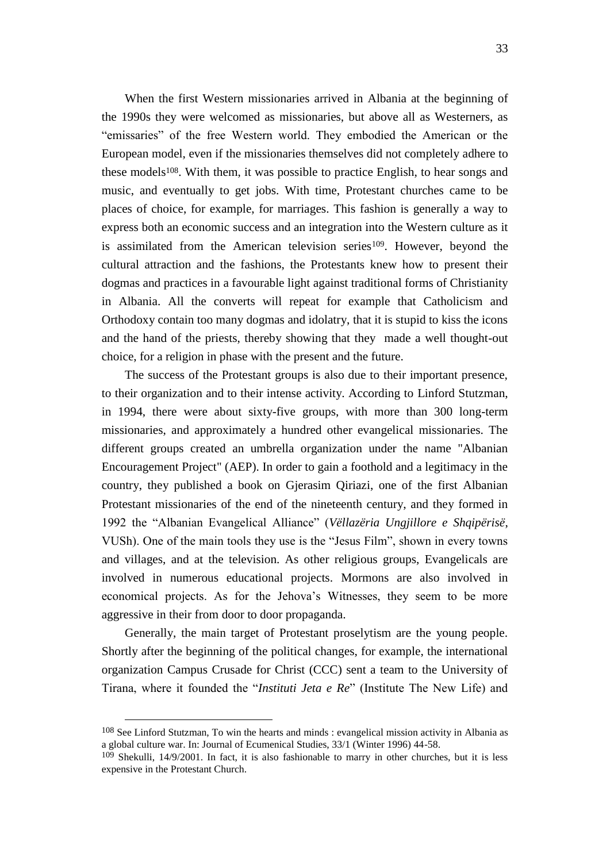When the first Western missionaries arrived in Albania at the beginning of the 1990s they were welcomed as missionaries, but above all as Westerners, as "emissaries" of the free Western world. They embodied the American or the European model, even if the missionaries themselves did not completely adhere to these models<sup>108</sup>. With them, it was possible to practice English, to hear songs and music, and eventually to get jobs. With time, Protestant churches came to be places of choice, for example, for marriages. This fashion is generally a way to express both an economic success and an integration into the Western culture as it is assimilated from the American television series<sup>109</sup>. However, beyond the cultural attraction and the fashions, the Protestants knew how to present their dogmas and practices in a favourable light against traditional forms of Christianity in Albania. All the converts will repeat for example that Catholicism and Orthodoxy contain too many dogmas and idolatry, that it is stupid to kiss the icons and the hand of the priests, thereby showing that they made a well thought-out choice, for a religion in phase with the present and the future.

The success of the Protestant groups is also due to their important presence, to their organization and to their intense activity. According to Linford Stutzman, in 1994, there were about sixty-five groups, with more than 300 long-term missionaries, and approximately a hundred other evangelical missionaries. The different groups created an umbrella organization under the name "Albanian Encouragement Project" (AEP). In order to gain a foothold and a legitimacy in the country, they published a book on Gjerasim Qiriazi, one of the first Albanian Protestant missionaries of the end of the nineteenth century, and they formed in 1992 the "Albanian Evangelical Alliance" (*Vëllazëria Ungjillore e Shqipërisë*, VUSh). One of the main tools they use is the "Jesus Film", shown in every towns and villages, and at the television. As other religious groups, Evangelicals are involved in numerous educational projects. Mormons are also involved in economical projects. As for the Jehova"s Witnesses, they seem to be more aggressive in their from door to door propaganda.

Generally, the main target of Protestant proselytism are the young people. Shortly after the beginning of the political changes, for example, the international organization Campus Crusade for Christ (CCC) sent a team to the University of Tirana, where it founded the "*Instituti Jeta e Re*" (Institute The New Life) and

<sup>108</sup> See Linford Stutzman, To win the hearts and minds : evangelical mission activity in Albania as a global culture war. In: Journal of Ecumenical Studies, 33/1 (Winter 1996) 44-58.

<sup>109</sup> Shekulli, 14/9/2001. In fact, it is also fashionable to marry in other churches, but it is less expensive in the Protestant Church.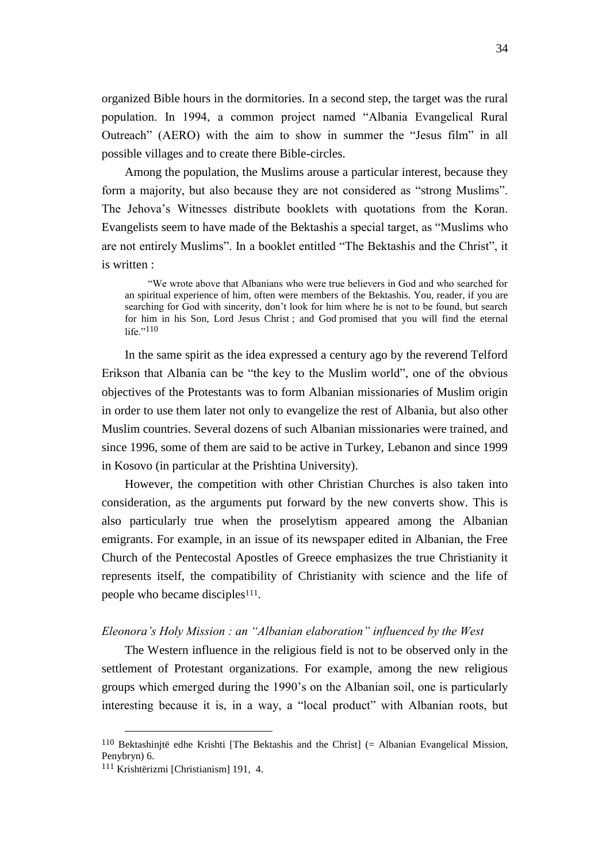organized Bible hours in the dormitories. In a second step, the target was the rural population. In 1994, a common project named "Albania Evangelical Rural Outreach" (AERO) with the aim to show in summer the "Jesus film" in all possible villages and to create there Bible-circles.

Among the population, the Muslims arouse a particular interest, because they form a majority, but also because they are not considered as "strong Muslims". The Jehova"s Witnesses distribute booklets with quotations from the Koran. Evangelists seem to have made of the Bektashis a special target, as "Muslims who are not entirely Muslims". In a booklet entitled "The Bektashis and the Christ", it is written :

"We wrote above that Albanians who were true believers in God and who searched for an spiritual experience of him, often were members of the Bektashis. You, reader, if you are searching for God with sincerity, don"t look for him where he is not to be found, but search for him in his Son, Lord Jesus Christ ; and God promised that you will find the eternal life."110

In the same spirit as the idea expressed a century ago by the reverend Telford Erikson that Albania can be "the key to the Muslim world", one of the obvious objectives of the Protestants was to form Albanian missionaries of Muslim origin in order to use them later not only to evangelize the rest of Albania, but also other Muslim countries. Several dozens of such Albanian missionaries were trained, and since 1996, some of them are said to be active in Turkey, Lebanon and since 1999 in Kosovo (in particular at the Prishtina University).

However, the competition with other Christian Churches is also taken into consideration, as the arguments put forward by the new converts show. This is also particularly true when the proselytism appeared among the Albanian emigrants. For example, in an issue of its newspaper edited in Albanian, the Free Church of the Pentecostal Apostles of Greece emphasizes the true Christianity it represents itself, the compatibility of Christianity with science and the life of people who became disciples<sup>111</sup>.

#### *Eleonora's Holy Mission : an "Albanian elaboration" influenced by the West*

The Western influence in the religious field is not to be observed only in the settlement of Protestant organizations. For example, among the new religious groups which emerged during the 1990"s on the Albanian soil, one is particularly interesting because it is, in a way, a "local product" with Albanian roots, but

 $110$  Bektashinjtë edhe Krishti [The Bektashis and the Christ] (= Albanian Evangelical Mission, Penybryn) 6.

<sup>111</sup> Krishtërizmi [Christianism] 191, 4.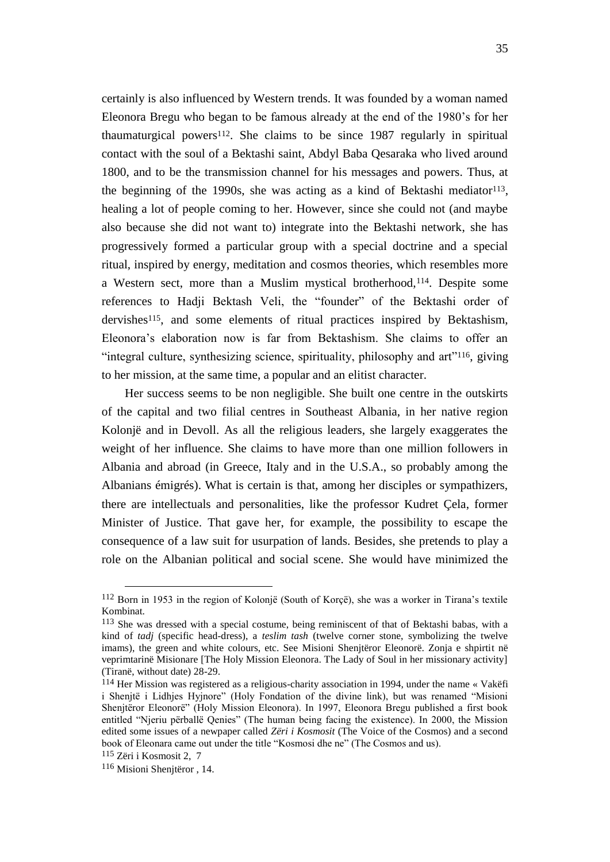certainly is also influenced by Western trends. It was founded by a woman named Eleonora Bregu who began to be famous already at the end of the 1980"s for her thaumaturgical powers<sup>112</sup>. She claims to be since 1987 regularly in spiritual contact with the soul of a Bektashi saint, Abdyl Baba Qesaraka who lived around 1800, and to be the transmission channel for his messages and powers. Thus, at the beginning of the 1990s, she was acting as a kind of Bektashi mediator<sup>113</sup>, healing a lot of people coming to her. However, since she could not (and maybe also because she did not want to) integrate into the Bektashi network, she has progressively formed a particular group with a special doctrine and a special ritual, inspired by energy, meditation and cosmos theories, which resembles more a Western sect, more than a Muslim mystical brotherhood,114. Despite some references to Hadji Bektash Veli, the "founder" of the Bektashi order of dervishes<sup>115</sup>, and some elements of ritual practices inspired by Bektashism, Eleonora"s elaboration now is far from Bektashism. She claims to offer an "integral culture, synthesizing science, spirituality, philosophy and art"116, giving to her mission, at the same time, a popular and an elitist character.

Her success seems to be non negligible. She built one centre in the outskirts of the capital and two filial centres in Southeast Albania, in her native region Kolonjë and in Devoll. As all the religious leaders, she largely exaggerates the weight of her influence. She claims to have more than one million followers in Albania and abroad (in Greece, Italy and in the U.S.A., so probably among the Albanians émigrés). What is certain is that, among her disciples or sympathizers, there are intellectuals and personalities, like the professor Kudret Çela, former Minister of Justice. That gave her, for example, the possibility to escape the consequence of a law suit for usurpation of lands. Besides, she pretends to play a role on the Albanian political and social scene. She would have minimized the

-

<sup>112</sup> Born in 1953 in the region of Kolonjë (South of Korçë), she was a worker in Tirana"s textile Kombinat.

<sup>113</sup> She was dressed with a special costume, being reminiscent of that of Bektashi babas, with a kind of *tadj* (specific head-dress), a *teslim tash* (twelve corner stone, symbolizing the twelve imams), the green and white colours, etc. See Misioni Shenjtëror Eleonorë. Zonja e shpirtit në veprimtarinë Misionare [The Holy Mission Eleonora. The Lady of Soul in her missionary activity] (Tiranë, without date) 28-29.

<sup>114</sup> Her Mission was registered as a religious-charity association in 1994, under the name « Vakëfi i Shenjtë i Lidhjes Hyjnore" (Holy Fondation of the divine link), but was renamed "Misioni Shenjtëror Eleonorë" (Holy Mission Eleonora). In 1997, Eleonora Bregu published a first book entitled "Njeriu përballë Qenies" (The human being facing the existence). In 2000, the Mission edited some issues of a newpaper called *Zëri i Kosmosit* (The Voice of the Cosmos) and a second book of Eleonara came out under the title "Kosmosi dhe ne" (The Cosmos and us).

<sup>115</sup> Zëri i Kosmosit 2, 7

<sup>116</sup> Misioni Shenjtëror , 14.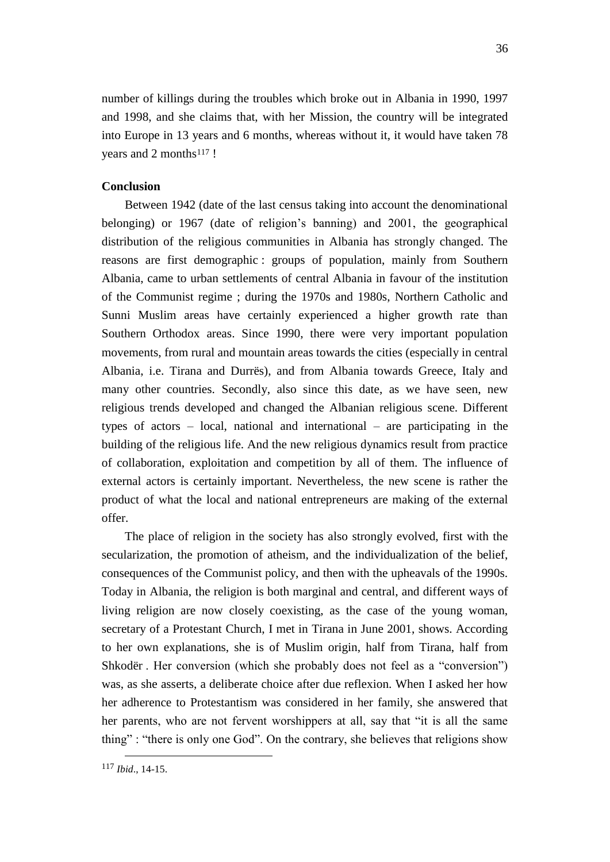number of killings during the troubles which broke out in Albania in 1990, 1997 and 1998, and she claims that, with her Mission, the country will be integrated into Europe in 13 years and 6 months, whereas without it, it would have taken 78 years and 2 months<sup>117</sup> !

#### **Conclusion**

Between 1942 (date of the last census taking into account the denominational belonging) or 1967 (date of religion's banning) and 2001, the geographical distribution of the religious communities in Albania has strongly changed. The reasons are first demographic : groups of population, mainly from Southern Albania, came to urban settlements of central Albania in favour of the institution of the Communist regime ; during the 1970s and 1980s, Northern Catholic and Sunni Muslim areas have certainly experienced a higher growth rate than Southern Orthodox areas. Since 1990, there were very important population movements, from rural and mountain areas towards the cities (especially in central Albania, i.e. Tirana and Durrës), and from Albania towards Greece, Italy and many other countries. Secondly, also since this date, as we have seen, new religious trends developed and changed the Albanian religious scene. Different types of actors – local, national and international – are participating in the building of the religious life. And the new religious dynamics result from practice of collaboration, exploitation and competition by all of them. The influence of external actors is certainly important. Nevertheless, the new scene is rather the product of what the local and national entrepreneurs are making of the external offer.

The place of religion in the society has also strongly evolved, first with the secularization, the promotion of atheism, and the individualization of the belief, consequences of the Communist policy, and then with the upheavals of the 1990s. Today in Albania, the religion is both marginal and central, and different ways of living religion are now closely coexisting, as the case of the young woman, secretary of a Protestant Church, I met in Tirana in June 2001, shows. According to her own explanations, she is of Muslim origin, half from Tirana, half from Shkodër . Her conversion (which she probably does not feel as a "conversion") was, as she asserts, a deliberate choice after due reflexion. When I asked her how her adherence to Protestantism was considered in her family, she answered that her parents, who are not fervent worshippers at all, say that "it is all the same thing" : "there is only one God". On the contrary, she believes that religions show

<sup>117</sup> *Ibid*., 14-15.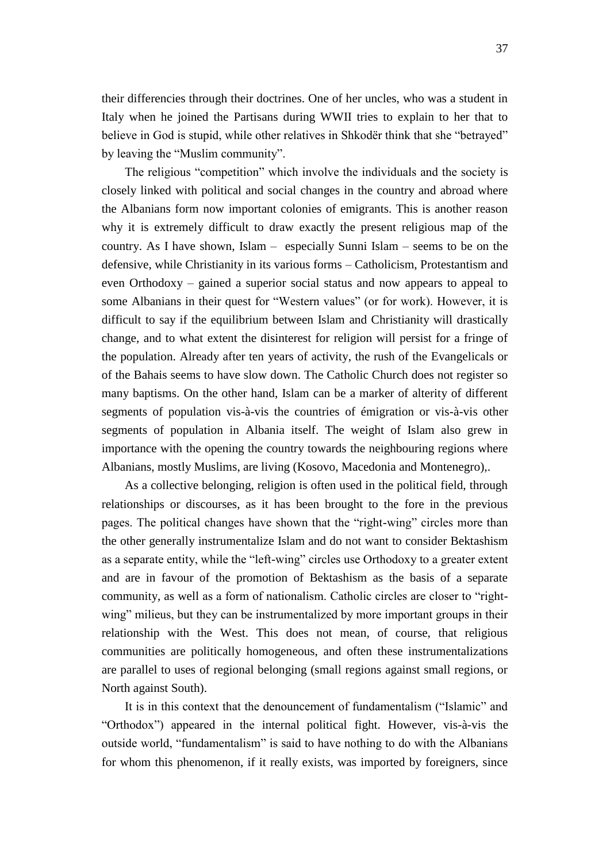their differencies through their doctrines. One of her uncles, who was a student in Italy when he joined the Partisans during WWII tries to explain to her that to believe in God is stupid, while other relatives in Shkodër think that she "betrayed" by leaving the "Muslim community".

The religious "competition" which involve the individuals and the society is closely linked with political and social changes in the country and abroad where the Albanians form now important colonies of emigrants. This is another reason why it is extremely difficult to draw exactly the present religious map of the country. As I have shown, Islam – especially Sunni Islam – seems to be on the defensive, while Christianity in its various forms – Catholicism, Protestantism and even Orthodoxy – gained a superior social status and now appears to appeal to some Albanians in their quest for "Western values" (or for work). However, it is difficult to say if the equilibrium between Islam and Christianity will drastically change, and to what extent the disinterest for religion will persist for a fringe of the population. Already after ten years of activity, the rush of the Evangelicals or of the Bahais seems to have slow down. The Catholic Church does not register so many baptisms. On the other hand, Islam can be a marker of alterity of different segments of population vis-à-vis the countries of émigration or vis-à-vis other segments of population in Albania itself. The weight of Islam also grew in importance with the opening the country towards the neighbouring regions where Albanians, mostly Muslims, are living (Kosovo, Macedonia and Montenegro),.

As a collective belonging, religion is often used in the political field, through relationships or discourses, as it has been brought to the fore in the previous pages. The political changes have shown that the "right-wing" circles more than the other generally instrumentalize Islam and do not want to consider Bektashism as a separate entity, while the "left-wing" circles use Orthodoxy to a greater extent and are in favour of the promotion of Bektashism as the basis of a separate community, as well as a form of nationalism. Catholic circles are closer to "rightwing" milieus, but they can be instrumentalized by more important groups in their relationship with the West. This does not mean, of course, that religious communities are politically homogeneous, and often these instrumentalizations are parallel to uses of regional belonging (small regions against small regions, or North against South).

It is in this context that the denouncement of fundamentalism ("Islamic" and "Orthodox") appeared in the internal political fight. However, vis-à-vis the outside world, "fundamentalism" is said to have nothing to do with the Albanians for whom this phenomenon, if it really exists, was imported by foreigners, since